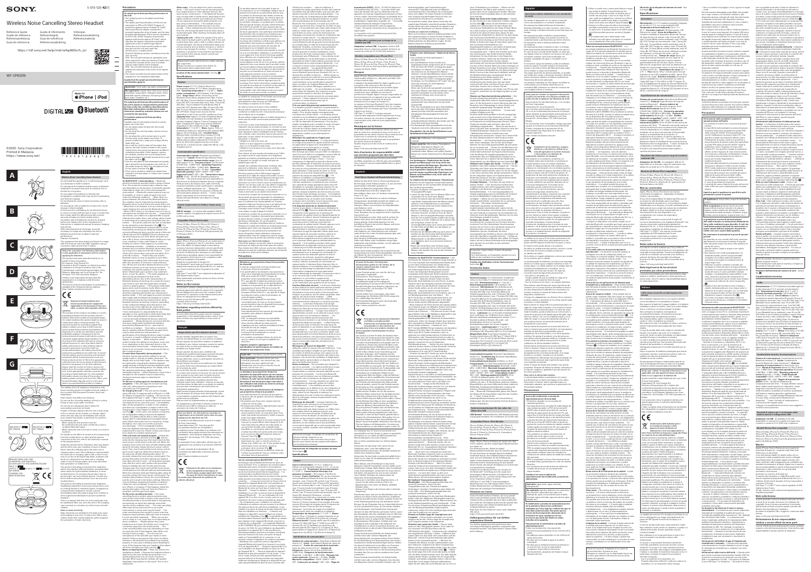WF-SP800N

 $\bullet$  iPhone | iPod

**DIGITAL AGE & Bluetooth** 

5-013-120-**42**(1)

### ©2020 Sony Corporation Printed in Malaysia https://www.sony.net/

## <u> Harry Harry Harry Harry Harry Harry</u>  $*$  5 0 1 3 1 2 0 4 2  $*$  (1)

# **SONY**

Wireless Noise Cancelling Stereo Headset Reference Guide Guide de référence Referenzanleitung Guía de referencia Guida di riferimento Referentiegids Guia de referência Referencevejledning



Viiteopas

Referanseveiledning

**A B**



**C**



Do not expose the batteries (battery pack or batteries installed) to excessive heat such as sunshine, fire or the like for a long time. Do not subject the batteries to extreme low mperature conditions that may result in overheating

o not dismantle, open or shred secondary cells or











batteries. Do not expose cells or batteries to heat or fire. Avoid orage in direct sunlight. n the event of a cell leaking, do not allow the liquid to come in contact with the skin or eyes. If contact has been made, wash the affected area with copious nounts of water and seek medical advice. ondary cells and batteries need to be charged before use. Always refer to the manufacturer's tructions or equipment manual for proper charging ructions. After extended periods of storage, it may be cessary to charge and discharge the cells or batteries several times to obtain maximum performance. ispose of properly. This equipment has been tested and found to comply with the limits set out in the EMC regulation using a connection cable shorter than 3 meters. Notice for customers: the following information is only applicable to equipment sold in countries applying EU directives product has been manufactured by or or **half of Sony Corporation.** porter: Sony Europe B.V.  $u$ iries to the EU Importer or related to production pliance in Europe should be sent to the facturer's authorized representative, Sony Belgium, bijkantoor van Sony Europe B.V., Da Vincilaan 7-D1, 1930 Zaventem, Belgium. Hereby, Sony Corporation declares that this equipment is in compliance with Directive 2014/53/EU. The full text of the EU declaration of conformity is available at the following internet address: http://www.compliance.sony.de/  $\epsilon$ Disposal of waste batteries and electrical and electronic equipment (applicable in the European Union and other countries with separate collectio systems) This symbol on the product, the battery or on the caging indicates that the product and the tery shall not be treated as household waste certain batteries this symbol might be used i bination with a chemical symbol. The mical symbol for lead (Pb) is added if the ntains more than 0.004% lead. By ring that these products and batteries ar ised of correctly, you will help to prevent ntially negative consequences for the ment and human health which could be ed by inappropriate waste handling. The cling of the materials will help to conser purces. In case of products that for safety, performance or data integrity reasons ermanent connection with an orporated battery, this battery should b



te products at end-of-life to the appropriat ection point for the recycling of electrical an tronic equipment. For all other batteries ase view the section on how to remove the ery from the product safely. Hand the batt  $\nu$ er to the appropriate collection point for the ycling of waste batteries. For more detaile rmation about recycling of this product o attery, please contact your local Civic Office, yo isehold waste disposal service or the shop where you purchased the product or battery. e validity of the CE marking is restricted to only ise countries where it is legally enforced, mainly in countries EEA (European Economic Area) and

laced by qualified service staff only. To ensur hat the battery and the electrical and electro ipment will be treated properly, hand ove

**English**

**Wireless Noise Cancelling Stereo Headset** Do not install the appliance in a confined space, such

as a bookcase or built-in cabinet.

nd thermal runaway

itzerland. High volume may affect your hearing. .<br>In not use the unit while walking, driving or cycling.  $\delta$ ing so may cause traffic accidents. Do not use at a dangerous place unless the

Install the earbuds firmly. Otherwise, they may detach and be left in your ears, resulting in injury or illness. Never insert the USB plug when the main unit or rging cable is wet. If the USB plug is inserted while the main unit or charging cable is wet, a short circuit may occur due to the liquid (tap water, seawater, soft drink, etc.) attached to the main unit or charging

cable or due to foreign matter, and cause abnormal<br>heat generation or malfunction.<br>This product (including accessories) has magnet(s)<br>This product (including accessories) has magnet(s)<br>shunt valves for hydrocephalus treatm This product (including accessories) has magnet(s). allowing magnet(s) could cause serious harm, such as choking hazard or intestinal injuries. If magnets (or

Note on static electricity Itatic electricity accumulated in the body may cause mild tingling in your ears. To reduce the effect, wear clothes made from natural materials, which suppress he generation of static electricity.

**the unit is based on measurements perform by Sony under the conditions described above. Note that malfunctions resulting from water** on caused by customer misuse are no **covered by the warranty. To maintain splash proof/dust proofing** 

underwater. • Do not allow the unit to remain wet in a cold ment, as the water may freeze. To event malfunction, make sure to wipe off an water after use. er arter ase:<br>e a soft dry cloth to wipe off any water that gets on the unit. If water remains in the sound output holes, the sound may become muffled or tely inaudible. If this happens, remo e earbuds, position the sound output ho facing downward, and shake several times to get<br>the water out (Fig. **A)**.

• Turn the microphone hole downward and gently tap it about five times towards a dry cloth etc. If .<br>In water drops are left in the mi it may cause corrosion (Fig. **B**).<br>• If the unit is cracked or deformed, refrain from sing the unit near water or contact your ne .<br>Sny dealer

surrounding sound can be heard. If water or foreign objects enter the unit, it may result in fire or electric shock. If water or a foreign obje enters the unit, stop use immediately and consult your nearest Sony dealer. In particular, be careful in

**On BLUETOOTH® communications •** Bluetooth wireless technology operates within a range of about 10 m. The maximum communication distance may vary depending on the presence of obstacles (people, metal objects, walls, etc.) or the electromagneti onment. • Bluetooth communications may not be possible, or noise or audio dropout may occur under the following conditions: – When there is a person between the unit and the Bluetooth device. tuation may be improved by posi Bluetooth device so that it faces the aerial of the unit. – When there is an obstacle, such as a metal object or a wall, between the unit and the Bluetooth device. – When a Wi-Fi device or microwave oven is in use, or crowaves are emitted near the unit. – Compared t

the following cases. – When using the unit around a sink, etc. Be careful that the unit does not fall into a sink or container filled with water. – When using the unit in the rain or snow, or in humid

locations For details on the effect of contact to the human body rom the mobile phone or other wireless devices ected to the unit, refer to the instruction manual of the wireless device.

use indoors, use outdoors is subjected little to signal reflection from walls, floors, and ceilings, which results in audio dropout occurring more frequently than use indoors. – The aerial is built into the unit as indicated by the dotted line in the illustration (Fig. **).** The sensitivity of the Bluetooth communications can be improved by removing any obstacles between the connected Bluetooth device and the aerial of this unit. • Bluetooth and Wi-Fi (IEEE802.11b/g/n) devices use the same frequency (2.4 GHz). When using the unit near a Wi-Fi device, electromagnetic interference may occur, resulting in noise, audio dropout, or the inability to connect. If this happens, try performing the following remedies: – Establish a connection etween the unit and the Bluetooth device when the

are at least 10 m away from the Wi-Fi device. - Tur off the Wi-Fi device when using the unit within 10 m of the Wi-Fi device. – Position the unit and the Bluetooth device as near as possible to each other. • Microwaves emitting from a Bluetooth device may fect the operation of electronic medical devices irn off this unit and other Bluetooth devices in the lowing locations, as it may cause an accident: ospitals, near priority seating in trains, locatior where inflammable gas is present, near automatic doors, or near fire alarms. • The audio playback on his unit may be delayed from that on the

 $i$ itting device, due to the characteristics  $\delta$ ietooth wireless technology. As a result, the soun may not be in sync with the image when viewing ovies or playing games. • This product emit waves when used in wireless mode. When used in wireless mode on an airplane, follow flight crew hissible use of products i ireless mode. • The unit supports security fur hat comply with the Bluetooth standard as a means f ensuring security during communication using

uetooth wireless technology. However, dependin on the configured settings and other factors, this security may not be sufficient. Be careful when ating using Bluetooth wireless technology. • Sony shall assume no responsibility for any damages or loss resulting from information leaks that occur when using Bluetoot Connection with all Bluetooth devices cannot be guaranteed. – Bluetooth devices connected with the

unit must comply with the Bluetooth standard prescribed by Bluetooth SIG, Inc., and must be ertified as compliant. – Even when a connec evice complies with the Bluetooth standard, there may be cases where the characteristics or ecifications of the Bluetooth device make it unabl connect, or result in different control methods, display, or operation. – When using the unit to perform hands-free talking on the phone, noise may occur depending on the connected device or the onment. • Depending on the

a magnet) were swallowed, consult a doctor mediately. Keep this product away from children or other supervised individuals to prevent accidental ingestion. There is a danger that this unit or its small parts may<br>be swallowed. After use, store the unit in the charging be swallowed. After use, store the unit in the charging case and store in a location out of the reach of small children. **Precautions**

 $\sim$ 

**Applicable:** Fresh water, tap water, persp **Not applicable:** Liquids other than those above<br>(examples: soapy water, detergent water, water<br>with bath agents, shampoo, hot spring water,<br>pool water, seawater, etc.)

sing unnecessary apps or restarting the smartphone. **On the use of calling apps for smartphones and computers •** This unit supports normal incoming calls only. Calling apps for smartphones and computers are not supported. **On charging the unit •** This unit can be charged sing USB only. A computer with a USB port or a USB AC adaptor is required for charging. • Be sure to use

**On splash proof/dust proofing performance of the unit** • The charging case is not splash proof/dust proofing. • The splash proof specifications of this unit are equivalent to IPX5 in IEC 60529 "Degrees of protection against ingress of water (IP Code)", which specifies the degree of protection provided and the entry of water, and the dust dealerships the dust the dust the dust of the dust of the dust of the dust of the dust of the dust of the dust of the dust of the dust of the dust of the dust of the dust of th process against the strate of this unit are equivalent to IP5X in IEC 60529 "Degrees of pro against solid foreign objects (IP Code)", which specifies the degree of protection comes me engine or processing prounist the entry of sond foreign objects.<br>Ilace tha unit is used correctly, water or dus mass the shift sees concern, its<br>nav get into the unit and cause fire ention, or malfunction **Note the following cautions carefully and use** t orrectly. In terretory.<br>K5: The unit will maintain its operability eve when exposed to direct jet streams of water any direction (except for the sound conduits (sound output tubes) of the headset). IP5X: The unit will maintain its safety and s and the maintain in safety and inquired the event of an ingre of dust. • The sound conduits (sound output tubes) of the he sound conduits (sound output tax **Liquids that the splash proof performance specifications apply to**

even after the unit is reset, perform the procedure below to initialize the unit. Put the units into the charging case, then touch and hold the touch sensor panel on the left and right unit simultane When the indicators (red) start flashing (after about 10 econds), release the touch sensor control panel. The ndicator (blue) flashes 4 times, the unit is initialized nd the unit is reset to the factory settings. When the nit is initialized, all pairing information is deleted • After the unit is initialized, it may not connect to your iPhone or computer. If this happens, delete the pairing information of the unit from the iPhone or computer, and then pair them again. **On the noise cancelling function •** The noise cancelling function senses external ambient noise (such as the noise inside a vehicle or the sound of air ioning inside a room) with built-in microphone

**The splash proof/dust proofing performance of** 

and produces an equal-but-opposite sound that ncels out the ambient noise. - The noise cancelling ffect may not be pronounced in a very quiet environment, or some noise may be heard. oise cancelling function works for noise in the lov quency band primarily. Although noise is reduce it is not cancelled completely. – When you use the unit in a train or a car, noise may occur depending or reet conditions. – Mobile phones may cause nterference and noise. Should this occur, locate the nit further away from the mobile phone. - Th noise cancelling effect may vary depending on how you wear the unit. If this happens, take off the unit and put it back on again. – Do not cover the hicrophones of the unit with your hands or other ojects. Doing so may prevent the noise cancellin nction or the Ambient Sound Mode from working properly, or may cause a beeping sound (howling)

ccur. If this happens, take your hands or other obje

**performance** Carefully note the precautions below to ensure  $\frac{1}{2}$  roper use of the unit. • Do not splash water forcibly into the sound output holes. • Do not drop the unit into water, and do not use

**Notes on wearing the unit • After use, re** headphones slowly. • Because the earbuds achieve a tight seal in the ears, forcibly pressing them in or quickly pulling them out can result in eardrum damage. When wearing the earbuds, the speak diaphragm may produce a click sound. This is not a malfunction.

the unit (Fig.  $\blacksquare$  ).

**Other notes** • Do not subject the unit to excessive shock. • The touch sensor may not operate properly if you apply stickers or other adhesive items to the ch sensor control panel. • The Bluetooth function ay not work with a mobile phone, depending on the nal conditions and the surrounding environ vou experience discomfort while using the unit stop using it immediately. • The earbuds may be amaged or deteriorate with long-term use and orage. • If the earbuds become dirty, remove the from the unit and gently wash them by hand using neutral detergent. After cleaning, thoroughly wipe off any moisture. **Cleaning the unit •** When the outside of the unit is dirty, clean it by wiping with a soft dry cloth. If the uni is particularly dirty, soak a cloth in a dilute solution of neutral detergent, and wring it well before wiping. Do not use solvents such as thinner, benzene, or alcoho as they may damage the surface. • If you have any uestions or problems concerning this unit that are

not covered in this manual, please consult your nearest Sony dealer. Replacement parts: Hybrid silicone rubber earbud Arc supporters Please consult your nearest Sony dealer for ination about replacement parts.

**Location of the serial number label** See Fig. **Specifications Headset**

Power source: DC 3.7 V: Built-in lithium-ion<br>
rechargeable battery DC 5 V: When charged using<br>
uSB **Operating temperature:** 0 °C to 40 °C **Rated**<br>
uSB **Operating temperature:** 0 °C to 40 °C **Rated**<br>
gover consumption: 1 W Approx. 59 g (Charging case) **Included items:** Wireless Noise Cancelling Stereo Headset (1) USB Type-C® cable (USB-A to USB-C®) (approx. 20 cm) (1) Hybrid silicone rubber earbuds (SS (1 line) (2), S (2

lines) (2), M (3 lines) (attached to the unit at the factory) (2), L (4 lines) (2)) Arc supporters (M (2), L (2)) harging case (1): **Communication specification Communication system:** Bluetooth Specification sion 5.0 **Output:** Bluetooth Specification Power

ass 1 **Maximum communication range:** Line of sight approx. 10 m1) **Frequency band:** 2.4 GHz band (2.4000 GHz - 2.4835 GHz) **Operating frequency:** Bluetooth: 2,400 MHz - 2,483.5 MHz **Maximum output power:** Bluetooth: < 10 dBm **Compatible Bluetooth profiles2):** A2DP / AVRCP / HFP / HSP **Supported Codec3):** SBC / AAC **Transmission range (A2DP):** 20 Hz - 20,000 Hz (Sampling frequency kHz)  $\,$  1) The actual range will vary depending on factors such as obstacles between devices, magne elds around a microwave oven, static electricit eception sensitivity, aerial's performance, operatin system, software application, etc. <sup>2)</sup> Bluetooth standard profiles indicate the purpose of Bluetoot

signal compression and conversion format Design and specifications are subject to change without notice. **System requirements for battery charge using USB USB AC adaptor** A commercially available USB A

communications between devices. <sup>3)</sup> Codec: Audio

adaptor capable of supplying an output current of 0.5 A (500 mA) or more **Compatible iPhone/iPod models** iPhone XS Max, iPhone XS, iPhone XR, iPhone X, iPhone 8 Plus, iPhone 8, iPhone 7 Plus, iPhone 7, iPhone SE, iPhone 6s Plus, iPhone 6s, iPhone 6 Plu iPhone 6, iPhone 5s, iPod touch (6th generation) (A

of February 2020) **Trademarks** Apple, iPhone, iPod and iPod touch are trademarks of Apple Inc., registered in the U.S. and other countries Use of the Made for Apple badge means that an cessory has been designed to connect specifical to the Apple product(s) identified in the badge, and as been certified by the developer to meet Apple erformance standards. Apple is not responsible fo

**Casque stéréo sans fil à réduction de bruit** Ne pas installer l'appareil dans un espace clos, comme une bibliothèque ou une armoire encastré Ne pas exposer les piles (bloc-batterie ou batterie installées) à une chaleur excessive comme les rayons du soleil, le feu ou tout autre élément analogue pendant une longue durée. Ne pas exposer les piles à des conditions de température extrêmement basses pouvant entraîner surchauffe et un emballement thermique Ne pas démonter, ouvrir ou déchiqueter des piles ou les batteries secondaires. Ne pas exposer les piles ou les batteries à la chaleu ou au feu. Éviter tout entreposage au contact direc de la lumière du soleil. n cas de fuite de pile, ne pas laisser le liquide entre en contact avec la peau ou les yeux. En cas de contact avec la peau ou les yeux, laver la région touché nment à l'eau, puis consulter un médecin

s piles et batteries secondaires doivent être hargées avant toute utilisation. Toujours se repor ux instructions du fabricant ou au guide du matérie pour prendre connaissance des instructions de ement appropriées. Après toutes longues périodes d'entreposage, il peut e nécessaire de charger et de décharger les pile u les batteries à plusieurs reprises afin d'obtenir des

erformances optimales. Détruire selon la réglementation en vigueur. Cet équipement a été testé et déclaré conforme aux limites de la loi CEM en utilisant un câble de connexion de moins de 3 mètres.

Avis aux clients : les informations suivantes ne s'appliquent qu'au matériel vendu dans les pays appliquant les directives de l'UE .<br>oussigné, Sony Corporation, déclare que c équipement est conforme à la Direction,

e produit a été fabriqué par ou pour le compte e Sony Corporation Imy corporation.<br>Intateur dans l'UE : Sony Europe B.V. Luestions basées sur la législation européenne pour l'importateur ou relatives à la conformité des produits doivent être adressées au dataire : Sony Belgium, bijkantoor van Son rope B.V., Da Vincilaan 7-D1, 1930 Zaventem Belgique.

 $\epsilon$ les autres pays disposant de systèmes de collecte sélective)

Ce symbole apposé sur le produit, la pile ou Imulateur, ou sur l'emballage, indique que l duit et les piles et accumulateurs fournis ave produit ne doivent pas être traités comme d

device to be connected, it may require some time to start communications. **If sound skips frequently during playback •** The situation may be improved by setting the sound aality mode to "priority on stable tails, refer to the Help Guide. • The situation may be improved by changing the wireless playback uality settings or fixing the wireless playback mode o SBC on the transmitting device. For details, refer to the operating instructions supplied with the transmitting device. • When listening to music from a smartphone, the situation may be improved by

the supplied USB Type-C cable. • When charging, the unit cannot be turned on and the Bluetooth and noise  $ell$ iling functions cannot be used.  $\; \bullet \;$  Imme wipe off any perspiration or water on the charging ort after use. If perspiration or water is left on th charging port, it may impair the ability to charge the unit (Fig.  $\blacksquare$ ).  $\bullet$  If the unit is not used for a long time, the rechargeable battery may become depleted quickly. The battery will be able to hold a proper charge after it is discharged and recharged several

mes. When storing the unit for a long time, charge the battery once every six months to prevent over-discharge. • If the rechargeable battery becomes depleted extremely quickly, it should be replaced with a new one. Please contact your nearest Sony dealer for a battery replacement.<br>**If the unit does not operate properly •** Follow the<br>**procedure below to reset the unit (Fig. 12**). Put the<br>units into the charging case, then touch and hold the

provoquer un court-circuit à cause du liquide (eau du pertinent. • Selon l'appareil à connecter, il peut s'écouler un certain temps avant que la nication ne démarre. **Si le son saute fréquemment pendant la lecture • La situation pourrait s'améliorer en paramétrant le** mode de qualité du son sur « Priorité à une connexion stable ». Pour de plus amples renseignements consultez votre Guide d'aide. • La situation pourra améliorer en modifiant les paramètres de qualité de lecture sans fil ou en réparant le mode lecture sans fil sur SBC du dispositif de transmission. Pour de plus ales renseignements, consultez le mode d'emp fourni avec l'appareil de transmission. • En cas d'écoute de musique depuis un smartphone, la ituation pourra s'améliorer en fermant les applications inutiles ou en redémarrant le smartphone. **Utilisation des applications d'appel pour**  smartphones et ordinateurs • Ce dispositif prend en charge uniquement les appels entrants normaux. Les applications d'appel pour smartphones et eurs ne sont pas prises en charge. **Chargement du dispositif •** Ce dispositif ne peut être rechargé qu'à l'aide d'un port USB. Un ordina muni d'un port USB ou un adaptateur secteur USB est saire pour le chargement. • Assurez-vous d'utiliser le câble USB Type-C fourni. • Lors du rgement, le dispositif ne peut être allumé et les tions Bluetooth et Réduction de bruit ne peuv être utilisées. · Essuyez immédiatement toute goutt de sueur ou d'eau présente sur le port de chargement après utilisation. Toute goutte de sueur ou d'eau présente sur le port de charge apacité de charge du dispositif (Fig. D). • En .<br>bsence d'utilisation du disposi longue période, la batterie rechargeable pourra s'épuiser rapidement. La batterie pourra co une capacité de charge appropriée après avoir été déchargée et rechargée à plusieurs reprises. En ca eposage du dispositif pendant une longue riode, chargez la batterie une fois tous les six mo afin d'éviter toute décharge excessive. • Si la batterie rechargeable s'épuise extrêmement vite, il conviendra de la remplacer par un modèle neuf. Veuillez contacter votre revendeur Sony le plus proche pour der au remplacement de la batterie. **Si le dispositif présente un dysfonctionnement •** ci-dessous pour réinitialiser le tif (Fig. **)**. Placez les dispositifs dans l'étui de appuyez sur le panneau de ande du capteur tactile du dispositif gauche et naintenez-le enfoncé. Quand l'indicateur (ro dispositif s'éteint après avoir clignoté (après 20 condes environ), relâchez le panneau de nmande du capteur tactile. Ensuite, appuyez sur le panneau de commande du capteur tactile du spositif droit et maintenez-le enfoncé. Quand licateur (rouge) du dispositif s'éteint après avo clignoté (après 20 secondes environ), relâchez le nneau de commande du capteur tactile. Les inations d'appariement et les autres pa it conservés même après la réinitialisation du dispositif. • Si le problème persiste même après réinitialisation du dispositif, suivez la procédure ci-dessous pour le faire démarrer. Placez les dispositifs dans l'étui de chargement, puis appuy sultanément sur le panneau de commande de pteur tactile des dispositifs gauche et droit et aintenez-les enfoncés. Quand les indicateur ommencent à clignoter (après 10 secondes viron), relâchez le panneau de commande du pteur tactile. L'indicateur (bleu) clignote 4 fois, le spositif démarre et se réinitialise selon les réglag d'usine. Au démarrage du dispositif, toutes les informations d'appariement sont supprimée • Après démarrage du dispositif, il se peut que celui-ci ne se connecte pas à votre iPhone ou à votre ordinateur. Le cas échéant, supprimez les formations d'appariement du dispositif de l'iPhone u de l'ordinateur, puis appariez-les de nouveau. Fonction Réduction de bruit · La fonction Réduction de bruit détecte les bruits ambiants externes (comme le bruit à l'intérieur d'un véhicule ou le bruit de la natisation d'une pièce) grâce à des microphone intégrés, et produit un son de même amplitude, mais opposé, qui réduit le bruit ambiant. – L'effet Réduction de bruit peut ne pas être utilisé dans un ement très silencieux, ou du bruit peut être entendu. – La fonction Réduction de bruit agit ent sur le bruit de la bande des bass réquences. Bien que le bruit soit réduit, il n'est pa mplètement atténué. - Lorsque vous utilisez le dispositif dans un train ou un véhicule, il peut y avoir du bruit selon les circonstances urbaines. – Les léphones portables peuvent provoquer des erférences et du bruit. Le cas échéant, éloignez l spositif du téléphone portable. – L'effet Réduction de bruit peut varier en fonction de votre façon de porter le dispositif. Le cas échéant, retirez le dispositif is remettez-le. - Ne couvrez pas les microphone lu dispositif avec vos mains ou d'autres objets. Cel pourrait perturber la fonction Réduction de bruit ou le node bruit ambiant, voire provoquer l'émission d'u bip sonore (ronronnement). Le cas échéant, retirez vos mains ou tout autre objet des microphones du spositif (Fig.  $\blacksquare$ ). **Remarques sur le port du dispositif •** Après utilisation, retirez le casque d'écoute lentement. • Les nettant d'établir un joint étanche les oreilles, le fait de les presser avec vigueur ou de i retirer rapidement peut entraîner des lésions de pans. Lors du port des oreillettes, le diaphragn du haut-parleur peut produire un cliquetis. Il ne s'agit as d'un dysfonctionnement **Autres remarques •** Ne soumettez pas l'appareil à nctionner convenablement en cas de dépôt d'autocollants ou d'autres éléments adhésifs sur son panneau de commande. • La fonction Bluetooth peut ne pas fonctionner avec un téléphone portable

robinet, eau de mer, soda, etc.) qui adhère à l'appareil principal ou au câble de charge ou en raison de la présence d'un corps étranger, ce qui génère une<br>chaleur anormale ou un dysfonctionnement. chaleur anormale ou un dysfonctionnement.<br>Ce produit (y compris les accessoires) comporte un ou<br>des aimants qui peuvent perturber les stimulateurs<br>cardiaques, les valves de dérivation programmables<br>pour le traitement de l'

**Résistance aux projections d'eau/à la poussière du dispositif** ui de chargement n'est pas résistant aux

touch sensor control panel on the left unit. When the indicator (red) on the unit turns off after flashing (after about 20 seconds), release the touch sensor cont panel. Then, touch and hold the touch sensor control panel on the right unit. When the indicator (red) on the unit turns off after flashing (after about 20 seconds), release the touch sensor control panel. The pairing information and other settings are retained even when the unit is reset. • If the problem persists

projections d'eau/à la poussière. • Les spécifications de résistance aux projections d'eau de ce dispositif sont équivalentes à l'indice IPX5 de la norme IEC 60529 « Degrés de protection contre la pénétration d'eau (Code IP) », qui spécifie le degré de protection prévu contre l'infiltration d'eau, et les spécifications de résistance à la poussière de ce dispositif sont<br>équivalentes à l'indice IP5X de la norme IEC<br>60529 « Degrés de protection contre les corps<br>étrangers solides (Code IP) », qui spécifie le degré<br>de protection prévu contre la

corps étrangers solides.<br>À moins que le dispositif ne soit utilisé<br>convenablement, de l'eau ou de la poussière<br>peuvent pénétrer dans le dispositif et provoquer<br>un incendie, une électrocution ou des<br>dysfonctionnements.<br>Lise

II<br>VS : le dispositif conserve son opérabilité même lorsqu'il est exposé à des projections<br>d'eau directes affluant de toute part (ne<br>s'applique pas aux conduits acoustiques (tubes<br>de sortie du son) du casque).<br>IPSX : le dispositif conserve sa sécurité et un<br>fonctionnem

La résistance aux projections d'eau/à la<br>poussière du dispositif repose sur les mesures<br>réalisées par Sony dans les conditions décrites<br>ci-dessus. À noter que les dysfonctionnements **découlant d'une immersion dans l'eau suite à une utilisation mal avisée du client ne sont pas couverts par la garantie.**

**Pour préserver les performances de résistan**<br>aux projections d'eau/à la poussière **aux projections d'eau/à la poussière<br>Lisez attentivement les mesures de précaution<br>ci-dessous afin de garantir une bonne utilisation<br>du dispositif.** 

• Ne projetez pas d'eau avec vigueur dans les<br>
• Ne projetez pas d'eau avec vigueur dans les<br>
• Ne laissez pas tomber le dispositif dans l'eau et<br>
• Ne laissez pas le dispositif humide dans un<br>
environmement froid, car l'

ouis secouez le dispositii<br>évacuer l'eau (Fig. <mark>A</mark>).<br>. • Orientez le trou du micro vers le bas et tapez<br>
légèrement sur celui-ci cinq fois environ au<br>
dessus d'un chiffon sec, etc. Si des gouttes d'eau<br>
restent dans le trou du micro, cela peut<br>
provoquer de la corrosion (Fig.

communication Bluetooth peut être affinée en retirant tout obstacle entre l'appareil Bluetooth connecté et l'antenne de ce dispositif. • Les appareils Bluetooth et Wi-Fi (IEEE802.11b/g/n) utilisent la même fréquence (à savoir, 2,4 GHz). En cas d'utilisation du dispositif à proximité d'un appareil Wi-Fi, des interférences électromagnétiques peuvent se produire, entraînant<br>ainsi des nuisances sonores, une perte de signal<br>audio ou l'impossibilité de se connecter. Le cas<br>échéant, essayez d'appliquer les solutions suivantes : – Établissez une connexion entre le dispositif et<br>l'appareil Bluetooth lorsqu'ils se trouvent à au moins<br>10 m de l'appareil Wi-Fi. – Éteignez l'appareil Wi-Fi en

cas d'utilisation du dispositif dans un rayon de 10 m de l'appareil Wi-Fi. – Placez le dispositif et l'appareil Bluetooth le plus près possible l'un de l'autre. • Les micro-ondes émises par tout appareil Bluetooth<br>peuvent affecter le fonctionnement des dispositifs<br>médicaux électroniques. Éteignez le dispositif et tout<br>autre appareil Bluetooth dans les lieux suivants afin d'éviter tout accident : – dans les hôpitaux, à proximité des sièges prioritaires de train, des endroits accueillant tout gaz inflammable, ainsi que près des larmes incendie ou des portes automatiques. • L lecture audio sur ce dispositif peut être différée pa pport à celle de tout appareil émetteur, en raiso es caractéristiques de la technologie sans fil Bluetooth. Par conséquent, il se peut que l'audio ne soit pas synchronisé avec l'image de vos films ou jeu: vidéo. • Ce produit émet des ondes radio lorsqu'il e utilisé en mode sans fil. Lorsqu'il est utilisé en mod ans fil dans un avion, suivez les instructions de equipage concernant les conditions d'utilisation des produits en mode sans fil. • Le dispositif prend en charge des fonctions de sécurité conformes à la orme Bluetooth afin de garantir la sécurité penda communication à l'aide de la technologie sans fil Bluetooth. Toutefois, en fonction des paramètres configurés et d'autres facteurs, ces mesures de sécurité peuvent se révéler insuffisantes. Soyez udent lors de toute communication utilisant la echnologie sans fil Bluetooth. • Sony décline tout sponsabilité en cas de dommages ou de perte découlant de fuites d'informations survenues lors d l'exploitation de la communication Bluetooth. • La nexion à toutes sortes d'appareils Bluetooth ne peut être garantie. – Les appareils Bluetooth nnectés à l'appareil doivent être conformes à la norme Bluetooth prescrite par Bluetooth SIG, Inc. et loivent être certifiés conformes. - Même lorsqu'u appareil connecté est conforme à la norme Bluetooth il se peut qu'il existe des circonstances où les istiques ou les spécifications empêchen ute connexion de l'appareil Bluetooth, voire débouchent sur divers affichages, opérations ou néthodes de contrôle. - En cas d'utilisation du mod nains libres de l'appareil, des nuisances sonores vent être émises en fonction de l'appareil onnecté ou de l'environnement de communication

the operation of this device or its compliance with safety and regulatory standards. Android is a trademark of Google LLC. The Bluetooth® word mark and logos are registered ademarks owned by the Bluetooth SIG, Inc. and any use of such marks by Sony Corporation is under license. USB Type-C® and USB-C® are registered trademarks of USB Implementers Forum. Other trademarks and trade names are those of their

> es chocs excessifs. • Le capteur tactile peut ne pas en fonction des circonstances du signal et de vironnement. • Si vous ressentez une gêne lors de l'utilisation du dispositif, arrêtez de l'utiliser iédiatement. • Les oreillettes peuvent être dommagées ou se détériorer en cas d'utilisation et entreposage à long terme. • Si les oreillettes sont lles, retirez-les du dispositif et nettoyez-les licatement à la main à l'aide d'un détergent neutre Après le nettoyage, essuyez soigneusement toute trace d'humidité. **Nettoyage du dispositif •** Lorsque l'extérieur de ppareil est sale, nettoyez-le en l'essuyant à l'aide d'un chiffon doux et sec. Si l'appareil est

respective owners. **Notes on the License** s product contains software that Sony uses under licensing agreement with the owner of its copyright. We are obligated to announce the contents of the

> Voir la figure G **Spécifications**

agreement to customers under requirement by the owner of copyright for the software. Please access the following URL and read the ntents of the license. https://rd1.sony.net/help/mdr/sl/20/ **Disclaimer regarding services offered by third parties**

Services offered by third parties may be changed, suspended, or terminated without prior notice. Sony does not bear any responsibility in these sorts of situations. **Français**

Betriebsdauer des Akkus stark verkürzt, muss er gegen einen neuen ausgetauscht werden. Wenden .<br>Ie sich für einen Ersatzakku bitte an den nächsten Sony-Händler. **Wenn das Gerät nicht richtig funktioniert •** Setzen Sie das Gerät wie in den folgenden Schritten erläutert<br>zurück (Abb. 日). Setzen Sie die Einheiten in das ihren Sie dann länger das Ichsensor-Bedienfeld an der linken Einheit. Wenr die (rote) Anzeige an der Einheit nach dem Blinke erlischt (nach etwa 20 Sekunden), lassen Sie das ouchsensor-Bedienfeld los. Berühren Sie dann länger as Touchsensor-Bedienfeld an der rechten Einheit Wenn die (rote) Anzeige an der Einheit nach dem Blinken erlischt (nach etwa 20 Sekunden), lassen Sie das Touchsensor-Bedienfeld los. Die angsinformationen und andere Einstellungen bleiben gespeichert, auch wenn das Gerät zurückgesetzt wird. • Wenn das Problem auch nach dem Zurücksetzen des Geräts bestehen bleibt, initialisieren Sie das Gerät wie in den folgenden Schritten erläutert. Setzen Sie die Einheiten in das Ladeetui ein und berühren Sie dann länger gleichzeitig das Touchsensor-Bedienfeld an der linken und der rechten Einheit. Wenn die (roten) Anzeigen zu blinken beginnen (nach etwa 10 Sekunden), lassen Sie das Touchsensor-Bedienfeld los. Die (blaue) Anzeige blinkt 4-mal und das Gerät wird initialisiert und auf die Werkseinstellungen zurückgesetzt. Bei der Initialisierung des Geräts werden alle Kopplungsinformationen gelöscht. • Nach der nitialisierung des Geräts kann sich das Gerät

eventuell nicht mehr mit Ihrem iPhone oder Computer verbinden. Löschen Sie in diesem Fall die Kopplungsinformationen des Geräts vom iPhone oder Computer und führen Sie die Kopplung dann erneut durch. **Hinweis zur Rauschunterdrückungsfunktion •** Die chunterdrückungsfunktion erkennt anhand ingebauter Mikrofone externe Umgebungsgeräusch (wie z. B. die Geräusche in einem Fahrzeug oder das .<br>Rauschen einer Klimaanlage in einem Raum) und

produziert gegenphasige Tonsignale, die die Umgebungsgeräusche auslöschen. – In einer sehr ruhigen Umgebung ist der Rauschunterdrückungseffekt nicht sehr ausgeprägt oder es sind noch einige Geräusche zu hören. – Die chunterdrückungsfunktion wirkt überwiegend auf Geräusche im niederfrequenten Bereich. Diese Geräusche werden zwar reduziert, aber nicht vollständig ausgeblendet. – Wenn Sie das Gerät in einem Zug oder Auto verwenden, können je nach den traßenbedingungen Geräusche zu hören sein – Mobiltelefone können Interferenzen und törgeräusche verursachen. Sorgen Sie in diesem Fall

für mehr Abstand zwischen dem Gerät und dem Mobiltelefon. – Der Rauschunterdrückungseffekt kann davon abhängen, wie Sie das Gerät trager Nehmen Sie das Gerät gegebenenfalls ab und setzen Sie es nochmals auf. - Decken Sie die Mikrofone de Geräts nicht mit den Händen oder Gegenständen ab. Andernfalls funktioniert die Rauschunterdrückung oder der Modus für Umgebungsgeräusche nicht einwandfrei oder ein Pfeifgeräusch (Heulton) ist zu hören. Nehmen Sie in diesem Fall die Hände bzw. nstände von den Mikrofonen am Gerät (Abb. **). Hinweise zum Tragen des Geräts •** Nehmen Sie die Kopfhörer nach dem Gebrauch langsam ab. • Da die hrpolster die Ohren dicht abschließen, kann das

UE. exte complet de la déclaration UE de é est disponible à l'a suivante : http://www.compliance.sony.de/

Elimination des piles et accumulateurs et des équipements électriques et électroniques usagés (applicable dans les pays de l'Union Européenne et dans

ples déchets ménagers. Sur certains types d s, ce symbole apparaît parfois combiné av ymbole chimique. Le symbole pour le plom est rajouté lorsque ces piles contiennent 0,004 % de plomb. En vous assurant que le duits, piles et accumulateurs sont mis au reb açon appropriée, vous participez activeme ention des conséquences négatives que nauvais traitement pourrait provoquer su nnement et sur la santé humaine. Le clage des matériaux contribue par ailleur ration des ressources naturelles. Pour le duits qui, pour des raisons de sécurité, de mance ou d'intégrité des données ssitent une connexion permanente à une à un accumulateur intégré(e), il conviendra d rapprocher d'un Service Technique qualif ir effectuer son remplacement. En rapportant re appareil électrique, les piles et nulateurs en fin de vie à un point de collec roprié vous vous assurez que le produit, la pil ccumulateur intégré sera traité corre ur tous les autres cas de figure et afin d'enle piles ou accumulateurs en toute sécurité de e appareil, reportez-vous au manuel sation. Rapportez les piles et accumula es équipements électriques et électronique qés au point de collecte approprié pour le clage. Pour toute information comp i sujet du recyclage de ce produit ou des piles e lateurs, vous pouvez contacter votre icipalité, votre déchetterie locale ou le poin e vente où vous avez acheté ce produit. La validité du marquage CE est limitée aux seuls pays dans lesquels il est légalement en vigueur, principalement dans les pays de l'EEE (Espace conomique européen) et en Suisse.

> melfell verletzt werden, wenn Sie sie mit Gewa in die Ohren drücken oder abrupt herausziehen. Wenr Sie die Ohrpolster tragen, ist möglicherweise ein klickendes Geräusch von der Lautsprechermembran u hören. Dies ist keine Fehlfunktion. **Sonstige Hinweise •** Schützen Sie das Gerät vor starken Stößen. • Der Touchsensor funktionie möglicherweise nicht ordnungsgemäß, wenn Sie Aufkleber oder Ähnliches auf das Touchsensor-

Stützbögen Für Informationen zu Ersatzteilen wenden Sie sich bitte an den nächst **Position des Aufklebers mit der Seriennummer**  Siehe Abb.

einer Ladedauer von 10 Minuten kann etwa 60 Minuten lang Musik wiedergegeben werden.) Ca. 3 Stunden (Ladeetui) Hinweis: Die Lade- und triebsdauer können je nach den Betriebsbedingungen von diesen Angaben<br>abweichen. **Ladetemperatur:** 5 °C bis 35 °C<br>**Gewicht:** Ca. 9,8 g × 2 (Headset (einschließlich Stützbögen (M), Ohrpolster (MJ)) Ca. 59 g (Ladeetui)<br>**Mitgelieferte Teile:** Funk-Stereo-Headset mit<br>Rauschunterdrückung (1) USB Type-C®-Kabel (USB-A<br>auf USB-C®) (ca. 20 cm) (1) Hybrid-Silikon-Gummi-<br>Ohrpolster (SS (1 Linie

A2DP / AVRCP / HFP / HSP **Unterstützter Codec3):**  SBC / AAC **Übertragungsbereich (A2DP):** 20 Hz - 20.000 Hz (Abtastfrequenz 44,1 kHz) <sup>1)</sup> Die tatsächliche Reichweite hängt von verschiedenen Faktoren ab, wie z. B. Hindernissen zwischen G netfeldern um einem Mikrowellenherd, statischer Elektrizität, Empfangsempfindlichkeit, Leistung der Antenne, Betriebssystem, Softwareanwendung usw. 2011 - 2012 - 2012 - 2012 - 2012 - 2012 - 2013 - 2014 - 2014 - 2014 - 2014 - 2014 - 2014 - 2014 - 2014 - 2014 - 2014 - 2014 - 2014 - 2014 - 2014 - 2014 - 2014 - 2014 - 2014 - 2014 - 2014 - 2014 - 2014 - 2014 - 2014 -

der Bluetooth-Kommunikation zwischen den Geräte an. <sup>3)</sup> Codec: Format für die Audiosignalkomprimierung und -konvertierung Änderungen, die dem technischen Fortschritt dienen, bleiben vorbehalten. setzungen für das Laden des **Australia**<br>.

Un volume élevé peut nuire à votre audition. Ne pas utiliser l'appareil lorsque vous marchez, conduisez ou faites du vélo. Cela pourrait provoquer des accidents de la circulation. Ne pas utiliser l'appareil dans un endroit dangereux à moins que les bruits environnants puissent être entendus. Si de l'eau ou des corps étrangers pénètrent dans l'appareil, cela pourrait provoquer un incendie ou une électrocution. Si de l'eau ou un corps étranger pénètre

dans l'appareil, arrêter immédiatement de l'utilise ; consulter votre revendeur Sony le plus proche. I particulier, ne pas oublier de suivre les mesures de précaution ci-dessous. – Utilisation à côté d'un évier, etc. Veiller à ce que l'appareil ne tombe pas dans un évier ou un récipient rempli d'eau. tilisation sous la pluie ou la neige, voire dans des eux humides Pour obtenir de plus amples informations sur l'effet contact entre le corps humain et le téléphone

> **Markenzeichen** Apple, iPhone, iPod und iPod touch sind in den USA und in anderen Ländern eingetragene Markenzeiche von Apple Inc. von Apple Inc.<br>Die Verwendung des "Made for Apple

zeichen von USB Implementers Forun Andere Markenzeichen und Markennamen sind Eigentum der jeweiligen Rechteinhaber. **Hinweise zur Lizenz**

Dieses Produkt umfasst Software, die Sony gemäl iner Lizenzvereinbarung mit dem Fig rechts verwendet. Wir sind dazu verpf len Inhalt der Vereinbarung den Kunden gemäß de Anforderungen des Urheberrechteinhabers der Software bekannt zu geben. Bitte lesen Sie den Inhalt der Lizenz unter folgender URL durch. https://rd1.sony.net/help/mdr/sl/20/

portable ou d'autres périphériques sans fil connectés à l'appareil, se reporter au mode d'emploi du riphérique sans fil. Installer les oreillettes fermement. À défaut, elles pourront se détacher, rester dans vos oreilles, entraînant ainsi des blessures ou des maladies. N'insérez jamais la fiche USB lorsque l'appareil principal ou le câble de charge est humide. Si vous insérez la fiche USB quand l'appareil principal ou le câble de charge est humide, vous risquez de

Las pruebas realizadas en este equipo acreditan su conformidad con los límites definidos por la normativa EMC utilizando un cable de conexión de una longitud inferior a 3 metros. so para los clientes: la siguiente informac plica únicamente a los equipos vendidos ses donde se apliquen las directivas de la U e producto ha sido fabricado por, o en nomi

 $\epsilon$ Tratamiento de las baterías y equipos eléctricos y electrónicos al final de su vida útil (aplicable en la Unión Europea y otros países con sistemas de

tratamiento selectivo de residuos)<br>Este símbolo en el producto, la batería o el<br>embalaje indica que el producto y la batería no<br>pueden tratarse como un residuo doméstico<br>normal. En algunas baterías este símbolo puede utilizarse en combinación con un símbolo químico. Se añadirá el símbolo químico del plomo (Pb) si la batería contiene más del 0,004 % de plomo. Al ararse de que estos productos y b chan correctamente, ayudará a preveni les consecuencias negativas para la sa

Ce produit (y compris les accessoires) comporte un ou des aimants. L'ingestion d'aimant(s) peut présenter un grave danger comme un risque d'étouffement ou des lésions intestinales. En cas d'ingestion d'aimant(s), consultez immédiatement un médecin. Éloignez ce produit des enfants ou d'autres personn encadrées pour éviter une ingestion accidentelle.

el medio ambiente que podrían derivarse de su<br>incorrecta manipulación. El reciclaje de los<br>materiales ayuda a preservar los recursos<br>naturales. En el caso de productos, que por razones de seguridad, rendimiento o mantenimiento de datos, requieran una conexión anente con la batería incorporada, esta batería deberá reemplazarse únicamente por personal técnico cualificado para ello. Para

Cet appareil ou ses petites pièces présentent un risque d'ingestion. Après utilisation, entreposer l'appareil dans l'étui de chargement, puis le ranger dans un lieu hors de portée des enfants en bas âge. Remarque sur l'électricité statique L'électricité statique accumulée dans le corps peut provoquer de légers picotements dans les oreilles. Pour réduire tout effet connexe, porter des vêtements abriqués à partir de matériaux naturels, qui entrave a production d'électricité statique **Précautions**

aurarse de que la batería se desecha correctamente, entregue estos productos al final de su vida útil en un punto de recogida adecuado para el reciclado de aparatos eléctricos y electrónicos. Para el resto de baterías, consulte la sección donde se indica cómo extraer la batería del producto de forma segura. Deposite la batería en el correspondiente punto de recogida para el reciclado de baterías. Si desea obtener información detallada sobre el reciclaje de este producto o de la batería, póngase en contacto con

dispositivo inalámbrico. Coloque los adaptadores con firmeza. De lo contrario, podrían soltarse y quedarse en los oídos, dando lugar a lesiones o enfermedades. Nunca inserte la clavija USB si la unidad principal o el cable de carga están húmedos. Si se inserta la clavij USB mientras la unidad principal o el cable de carga están húmedos, puede producirse un corto causa de la presencia de líquido (agua del grifo, agua del mar, refresco, etc.) en la unidad principal o en e

cable de carga o a causa de sustancias extrañas, lo que podría provocar un aumento anómalo de la temperatura o una avería.

Este producto (incluyendo los accesorios) tiene un<br>tinán (o imanes) que puede interferir con marcapasos,<br>válvulas de derivación programables para el<br>tratamiento de la hidrocefalia, o con otros aparatos<br>médicos. No ponga el Este producto (incluyendo los accesorios) tiene un imán (o imanes). Tragar un imán (o imai ocasionar lesiones graves, como riesgo de

Existe el riesgo de tragar esta unidad o sus piezas pequeñas. Después de utilizar la unidad, colóquela en el estuche cargador y guárdela fuera del alcance de los niños pequeños. Nota sobre la electricidad estática electricidad estática acumulada en el o puede provocar un ligero hormigueo en los oído

.<br>Para reducir el efecto, utilice ropa fabricada co materiales naturales, que reprimen la generación de electricidad estática. **Precauciones**

son) du casque ne sont pas complètement étanches. **Liquides auxquels s'appliquent les spécifications de performances en matière de résistance aux projections d'eau**

> salpicaduras/polvo. • Las especificaciones a prueba de salpicaduras de esta unidad equivalen a IPX5 de la norma IEC 60529 sobre el grado de protección contra la entrada de agua de protección IP), que a de agua (grado de protección IP), qu especifica el nivel de protección prop contra la entrada de agua, y las especificac a prueba de polvo de esta unidad<br>ueba de polvo de esta unidad IP5X de la norma IEC 60529 sobre el grado de protección contra la entrada de objetos sólidos (grado de protección IP), que especifi

**Applicable :** eau douce, eau du robinet, sueur **Non applicable :** liquides autres que ceux is (exemples : eau savonneuse, eau rgente, eau avec agents de bair shampoings, eau de source chaude, eau de piscine, eau de mer, etc.)

> en este grado de protección frente a la e as es presessas m.<br>os extraños sólidos. si la unidad no se utiliza correctamente, e posible que entre agua o polvo y que se produzca un incendio, una electrocución o un

error de funcionamiento. Preste mucha atención a las siguientes precauciones y utilice la unidad correctamente. IPX5: la unidad seguirá funcionando incluso cuando esté expuesta directamente a c anza desde cualquier dirección (excepto conductos de sonido (tubos de salida del del auricular). IP5X: la seguridad y el buen funcionamiento de na de están garantizados en caso de e de polvo. • Los conductos de sonido (tubos de salida del sonido) del auricular no son totalment

**Líquidos a los que se aplican las**  especificaciones del rendimiento a prueba d

**transmission (A2DP) :** 20 Hz - 20 000 Hz (fréquence d'échantillonnage 44,1 kHz) <sup>1)</sup> La portée réelle varie

compter de février 2020) **Marques** Apple, iPhone, iPod et iPod touch sont des marques merciales d'Apple Inc., déposées aux États-Unis et dans d'autres pays. L'utilisation du badge Made for Apple signifie qu'un accessoire a été conçu pour être raccordé spécifiquement au produit ou aux produits Apple dentifiés dans le badge, et a été certifié par le

nstructeur pour satisfaire les normes de performance d'Apple. Apple n'est pas respo nctionnement de cet appareil ni de sa conformite avec les consignes et normes de sécurité. Android est une marque de Google LLC. La marque et les logos Bluetooth® sont des marque déposées appartenant à Bluetooth SIG, Inc. et toute exploitation de ces marques par Sony Corporation fait l'objet d'une licence. USB Type-C® et USB-C® sont des marques

**Sur les communications BLUETOOTH® •** La technologie sans fil Bluetooth fonctionne dans un<br>rayon d'environ 10 m. La distance de communication<br>maximale peut varier en fonction de la présence<br>d'obstacles (personnes, objets métalliques, murs, etc.) ou de tout environnement électromagnétique. • La communication par Bluetooth peut se révéler impossible, voire des nuisances sonores ou des pertes audio peuvent se produire dans les circonstances suivantes : – Lorsqu'une personne se trouve entre le dispositif et l'appareil Bluetooth. Il est possible de remédier à une telle situation en orientant l'appareil Bluetooth de sorte qu'il soit face à l'antenne du

dispositif. – Lorsqu'un obstacle, comme un objet<br>métallique ou un mur, se trouve entre le dispositif et<br>l'appareil Bluetooth. – En cas d'utilisation de tout<br>appareil Wi-Fi ou four à micro-ondes, voire en cas d'émission de micro-ondes à proximité du disposi Par comparaison avec l'utilisation en intérieur ilisation en extérieur est peu soumise à la réf des signaux des murs, planchers et plafonds, ce qui entraîne une perte de signal audio plus fréquente que dans les utilisations en intérieur. - L'antenne es intégrée au dispositif, comme indiqué par la ligne<br>pointillée de l'illustration (Fig. **(c)**). La sensibilité de la

commerciales déposées d'USB Impleme Les autres marques de commerce et appellation mmerciales sont celles de leurs propriétaire respectifs. **Remarques sur la licence** Ce produit contient des logiciels utilisés par Sony

Überhitzung und thermischem Durchgehen.<br>Zerlegen, öffnen und zerstören Sie Sekundärzellen<br>oder Batterien nicht.<br>Schützen Sie Zellen oder Batterien vor Hitze oder<br>Feuer. Bewahren Sie sie möglichst nicht in direktem Sonnenlicht auf. Falls Flüssigkeit aus einer Zelle austritt, achten Sie darauf, dass diese nicht auf die Haut oder in die Augen gelangt. Andernfalls waschen Sie den betroffenen Bereich mit reichlich Wasser und holen Sie ärztlichen Rat ein. Legen Sie vor Gebrauch geladene Sekundärzellen oder Batterien ein. Informationen zum richtigen Laden finden Sie in den Herstelleranweisungen oder

las Produkt und die Batterie/der Akku korrekt ntsorgt werden, geben Sie das Produkt zwec sorgung an einer geeigneten Annahr für das Recycling von elektrischen und nischen Geräten ab. Für alle andere terien/Akkus entnehmen Sie die Batte Akku bitte entsprechend dem Kapitel über die sere Entfernung der Batterie/des Akkus. Ge Sie die Batterie/den Akku an einer geeigneten ahmestelle für das Recycling von Batt Akkus ab. Weitere Informationen über das

ecycling dieses Produkts oder der Batteri Akkus erhalten Sie von Ihrer Gemeinde, den kommunalen Entsorgungsbetrieben oder dem Geschäft, in dem Sie das Produkt gekauft haben. nweis für Lithiumbatterien: Bitte geben Sie nu entladene Batterien an den Sammelstellen ab. legen Kurzschlussgefahr überkleben Sie bitte di ole der Batterie mit Klebestreifen. Sie erkenne mbatterien an den Abkürzungen Li oder CR

ieses Produkt (einschließlich der Zubehörteile) enthält einen oder mehrere Magnete, die Herzschrittmacher, programmierbare Shunt-Ventile für die Behandlung von Hydrozephalus oder andere medizinische Geräte beeinträchtigen können. Stellen Sie dieses Produkt nicht in der Nähe von Personen auf, die solche medizinischen Geräte verwenden. Konsultieren Sie Ihren Arzt vor der Benutzung dieses

Produkts, falls Sie ein solches mediz verwenden. Dieses Produkt (einschließlich der Zubehörteile) enthält einen oder mehrere Magnete. Ver von Magneten könnte ernsthafte Schäden, wie z. B.

Bildung statischer Aufladung unterbinden. **Sicherheitshinweise Hinweise zum Spritzwasser-/Staubschutz dieses**  • Das Ladeetui ist nicht spritzwasser-/ staubgeschützt. • Spezifikationen dieses Geräts zum<br>itzwasserschutz entsprechen der IP-Schut

Spritzwasserschutz entsprechen der IP-Schutzart IPX5 der Norm IEC 60529 "Schutzgrade gegen Eindringen von Wasser (IP-Code)", die den Grad des Schutzes vor eindringendem Wasser definiert, und die Spezifikationen dieses Geräts utz entsprechen der IP-Schutza 5X der Norm IEC 60529 "Schutzgrade geg ron Fremdkörpern (IP-Code)", die d

ad des Schutzes vor eindringenden .<br>Tern definiert. Wenn das Gerät nicht sachgemäß verwendet ird, kann Wasser oder Staub eindringen .<br>t Feuergefahr und die Gefahr eine elektrischen Schlags oder es kommt zu Fehlfunktionen. Beachten Sie die folgenden Sicherheitshinweise

senhaft und verwenden Sie das Gerät sachgemäß. IPX5: Das Gerät bleibt auch dann betriebsfähig, enn aus allen Richtungen Wasserstrahlen auf gerichtet sind (mit Ausnahme de ngkanals (Klangausgaberöhrchen) de

Headsets). IP5X: Bei eindringendem Staub wird das enstellende Arbeiten des Geräts oder die Sicherheit nicht beeinträchtigt. • Die Klangkanäle (Klangausgaberöhrchen) des dsets sind nicht vollkommen wasserdic

**So erhalten Sie den Spritzwasser-/Staubschutz** Beachten Sie die folgenden Sicherheitshinweise gewissenhaft, um die sachgemäße Verwendung es Geräts sicherzusteller. tzen Sie Wasser nicht gezielt in die Tonausgabeöffnungen. • Lassen Sie das Gerät nicht ins Wasser fallen und verwaarden verwenden.<br>Verwenden Sie es nicht unter Wasse

zurückbleiben, kann es zu Korrosion kommen<br>(Abb. **国**).<br>• Wenn das Gerät Risse oder Verformungen<br>aufweist, verwenden Sie es nicht in der Nähe von Wasser oder wenden Sie sich an den nächste Sony-Händler. **Hinweise zur BLUETOOTH®-Kommunikation •** Die

Reichweite der Bluetooth-Funktechnologie beträgt ca. 10 m. Die maximale Kommunikationsreichweite kann je nach dem Vorhandensein von Hindernissen (Personen, Metallgegenständen, Wänden usw.) oder der elektromagnetischen Umgebung variieren. • Unter den folgenden Bedingungen ist unter Umständen keine Bluetooth-Kommunikation möglich oder Störrauschen bzw. Tonaussetzer können iftreten: – Zwischen diesem Gerät und dem

etooth-Gerät befindet sich eine Person. In diese Situation kann der Empfang eventuell verbessert werden, indem Sie das Bluetooth-Gerät auf die Seite eses Geräts stellen, an der sich die Antenne befindet. – Zwischen diesem Gerät und dem uetooth-Gerät befindet sich ein Hindernis, wie z. E ein Metallgegenstand oder eine Wand. – Ein Wi-Fi-Gerät oder ein Mikrowellenherd wird in der Geräts verwendet oder in der Nähe ieses Geräts werden Mikrowellen abgestrahl

brauch im Freien werden die Signale ander als in Räumen kaum von Wänden, Böden und Decker reflektiert, weshalb es häufiger zu Tonaussetzern kommt als in Räumen. – Die Antenne ist wie mit der gepunkteten Linie in der Abbildung dargestellt in das<br>Gerät integriert (Abb. ©). Sie können die Empfangsqualität bei der Bluetooth-Kommunikation rn, indem Sie etwaige Hindernisse zwische

lenen Bluetooth-Gerät und der Antenn tfernen. • Bluetooth- und Wi-Fi-Geräte (IEEE802.11b/g/n) arbeiten mit derselben<br>Frequenz (2,4 GHz). Wenn Sie dieses Gerät in der<br>Nähe eines Wi-Fi-Geräts verwenden, kann es<br>aufgrund von elektromagnetischen Interferenzen zu chen oder Tonaussetzern kommen oder es kann keine Verbindung hergestellt werden. Falls die issiert, versuchen Sie es mit folgender

inem Bluetooth-Gerät ausgehende Mikrowelle önnen den Betrieb von ele äten beeinflussen. Schalten Sie dieses Gerät und andere Bluetooth-Geräte an folgenden Orten aus. Andernfalls besteht Unfallgefahr: – In Krankenhäusern, in der Nähe von Behindertenplätzen in Zügen, an Orten wie beispielsweise Tankstellen, wo

bare Gase vorhanden sein können, in der Näh von automatischen Türen oder in der Nähe von Feuermeldern. • Aufgrund der Merkmale der Bluetooth-Funktechnologie wird der Ton von diesem Gerät gegenüber dem Ton vom Sendegerät

**Kommunikation zurückzuführen sind.** • Eine /erbindung mit allen Bluetooth-Geräten kann nich garantiert werden. – Bluetooth-Geräte, die mit Gerät verbunden werden, müssen den vo<mark>r</mark> Bluetooth SIG, Inc. vorgegebenen Bluetooth-Standard unterstützen und entsprechend zertifiziert sein. – Auch wenn ein verbundenes Gerät dem

d entspricht, kann es vorkommer dass die Merkmale oder Spezifikationen des tooth-Geräts eine Verbindung unmöglich mach bzw. zu Abweichungen bei Steuerungsmethoden, Anzeige oder Betrieb führen. – Wenn Sie dieses Gerät als Freisprecheinrichtung beim Telefonieren nutzen, kann es je nach dem verbundenen Gerät oder

sich die Wiedergabequalität möglicherweis verbessern, indem Sie nicht benötigte Apps beende oder das Smartphone neu starten. **Hinweis zu Telefon-Apps für Smartphones und Computer •** Dieses Gerät unterstützt nur normal eingehende Anrufe. Telefon-Apps für Smartphones

Ilitätsmodus auf "Priorität auf stabiler in der Bedienungsanleitung zum Sendegerät. • Falls Sie mit einem Smartphone Musik wiedergeben, lässt und Computer werden nicht unterstützt. **Hinweise zum Laden des Geräts •** Dieses Gerät

Wasser auf den Ladekontakten bleibt, kann das Laden<br>des Geräts beeinträchtigt werden (Abb. 7). • Wenn<br>das Gerät lange Zeit nicht verwendet wurde, entlädt sich der Akku möglicherweise rasch. Der Akku hält di Ladung wieder länger, nachdem Sie ihn einige Male entladen und wieder aufgeladen haben. Falls Sie das

nn nur über USB geladen werden. Zum Laden ist n Computer mit USB-Anschluss oder ein USB-Netzteil erforderlich. • Verwenden Sie unbedingt das mitgelieferte USB Type-C-Kabel. • Während des st sich das Gerät nicht einschalten und d Bluetooth- und die Rauschunterdr n nicht verwendet werden. • Wischen Sie Schweiß oder Wasser auf den Ladekontakten nach dem Gebrauch umgehend ab. Wenn Schweiß oder

.<br>a unidad está rota o deformada, evite utilizarla cerca del agua o póngase en contacto con su distribuidor Sony más cercano. **Sobre las comunicaciones BLUETOOTH® •** La tecnología inalámbrica de Bluetooth funciona en un rango de 10 m aproximadamente. Es posible que la distancia máxima de comunicación varíe en función

de la presencia de obstáculos (gente, objetos<br>metálicos, paredes, etc.) o del entorno<br>electromagnético. • Es posible que no se puedan<br>realizar las comunicaciones por Bluetooth o que se<br>produzca ruido o pérdida de audio en

otros factores. Tenga cuidado al comunicarse utilizando tecnología inalámbrica Bluetooth. • Sony no se hará responsable de los daños o pérdidas que resulten de las filtraciones de información que se produzcan al utilizar las comunicaciones Blueto • No se puede garantizar la conexión con todos los<br>dispositivos Bluetooth. – Los dispositivos Bluetooth<br>conectados con la unidad deben cumplir con el<br>estándar Bluetooth indicado por Bluetooth SIG, Inc. y<br>contar con la cert

particulièrement sale, faites tremper un chiffon dans une solution diluée de détergent neutre, puis essorez-le bien avant d'essuyer. N'utilisez pas de lvants comme du diluant, du benzène ou de licool, car ils pourraient endommager la surface di dispositif. • Pour obtenir des réponses à toutes questions ou des solutions pour tous problème cernant le dispositif, qui ne sont pas abordés dans ce manuel, veuillez consulter votre revendeur Sony le

plus proche. Pièces de rechange : Oreillettes en caoutchouc de silicone hybride, Supports en arc endeur Sony le plus  $\epsilon$ he pour obtenir de plus amples inform sur les pièces de rechange. **Emplacement de l'étiquette du numéro de série** 

**Casque Source d'alimentation :** 3,7 V CC : batterie au lithium-ion rechargeable intégrée 5 V CC : en cas de<br>charge par USB Température de fonctionnement :<br>0 °C à 40 °C Consommation électrique à la<br>puissance nominale : 1 W (Casque), 3 W (Étui de<br>recharge) Durée d'utilisation : via le périphérique Bluetooth Durée de lecture de musique : max. 9 heures (NC activé), max. 9 heures (mode bruit ambiant), max. 13 heures (NC désact Durée de communication : max. 7 heures (NC activé),<br>max. 7 heures (mode bruit ambiant), max. 8 heures<br>(NC désactivé) Durée de veille : max. 15 heures (NC<br>activé), max. 15 heures (mode bruit ambiant), max. 35<br>heures (NC dés d'utilisation peut être plus courte selon le codec et les conditions d'utilisation. **Durée de chargement :** 

Environ 2,5 heures (Casque) (Il est possible d'écouter environ 60 minutes de musique après 10 minutes de charge.) Environ 3 heures (Étui de recharge) Remarque : les durées de charge et d'utilisation peuvent varier selon les conditions d'utilisation. **Température de chargement :** 5 °C à 35 °C **Masse :**  Environ 9,8 g × 2 (Casque (y compris Supports en arc (M), oreillettes (M))) Environ 59 g (Étui de recharge) **Éléments fournis :** Casque stéréo sans fil à réduction<br>de bruit (1) Câble USB Type-C® (USB-A vers USB-C®) (environ 20 cm) (1) Oreillettes en caoutchouc de silicone hybride (SS (1 ligne) (2), S (2 lignes) (2), M (3 lignes) (fixées à l'appareil en usine) (2), L (4 lignes) (2)) Supports en arc (M (2), L (2)) Étui de recharge (1)

**Spécifications de communication Système de communication :** Spécification Bluetooth 5.0 **Sortie :** Spécification Bluetooth classe de puissance 1 **Portée de communication maximale : fres :** Bande de 2,4 GHz (2,4000 GH Bluetooth : 2 400 MHz - 2 483,5 MHz **Puissance de sortie maximale :** Bluetooth : < 10 dBm **Profils** 



HSP **Codecs pris en charge3) :** SBC / AAC **Plage de** 

einer Tiefentladung zu schützen. • Wenn sich die

la imagen **Especificaciones Auriculares**

Android es una marca comercial de Google LLC. La marca denominativa y los logotipos Bluetooth® son marcas comerciales registradas propiedad de Bluetooth SIG, Inc., y Sony Corporation posee licencia para utilizar cualquiera de dichas marcas. USB Type-C® y USB-C® son marcas comerciales tradas de USB Implementers Forur. Las demás marcas comerciales y nombres omerciales pertenecen a sus respectivos

Non installare l'apparecchio in uno spazio ristretto, come una libreria o un armadietto a incasso. Non esporre le batterie (il gruppo batterie o le batterie<br>installate) a calore eccessivo, come luce solare diretta installate) a calore eccessivo, come luce solare diretta, fuoco o simili, per un lungo periodo di tempo. n sottoporre le batterie a temperature vamente basse, che possono provocare surriscaldamento ed esplosione termica. sassemblare, aprire o danneggiare in altro

esporre le celle o le batterie al calore o al fuoco. Evitare l'esposizione prolungata alla luce solare diretta. In caso di perdite dalle celle, evitare il contatto del liquido con la pelle o gli occhi. Se il contatto è avvenuto, lavare la parte interessata con abbondanti quantità di acqua e consultare un medico. Le celle e le batterie secondarie devono esser caricate prima dell'uso. Fare sempre riferimento alle istruzioni del produttore o al manuale dell'apparecchiatura per le corrette istruzioni per la

Bedienfeld kleben. • Je nach Signalqualität und Umgebungsbedingungen ist die Bluetooth-Funktion bei einem Mobiltelefon möglicherweise nicht verfügbar. • Wenn Sie sich beim Verwenden des Geräts unwohl fühlen, verwenden Sie es auf keinen Fall weiter. • Bei langer Verwendung oder Aufbewahrung werden die Ohrpolster möglicherweise beschädigt oder nutzen sich ab. • Wenn die Ohrpolster verschmutzt sind, nehmen Si sie vom Gerät ab und waschen Sie sie behutsam von land mit einem Neutralreiniger. Wischen Sie sie nac dem Reinigen gründlich trocken. **Reinigen des Geräts •** Wenn das Gerät außen nutzt ist, reinigen Sie es mit einem weichen trockenen Tuch. Bei hartnäckiger Verschmutzung

auchen Sie ein Tuch in eine verdünnte Lösung mit Neutralreiniger und wringen dieses vor dem Abwischen gut aus. Verwenden Sie keine Lösungsmittel wie Verdünner, Benzin oder Alkohol, da diese die Oberfläche angreifen könnten. • Sollten an dem Gerät Probleme auftreten oder sollten Sie Fragen haben, auf die in dieser Anleitung nicht eingegange wird, wenden Sie sich bitte an den nächsten Sony-Händler. satzteile: Hybrid-Silikon-Gummi-Ohrpolster

> la presente, Sony Corporation dichiara che questo apparecchio è conforme alla Direttiva 2014/53/UE. Il testo completo della dichiarazione di conformità UE è disponibile al seguente indirizzo Internet: http://www.compliance.sony.de/

Smaltimento delle batterie (pile e accumulatori) esauste e delle apparecchiature elettriche ed elettroniche a fine vita (applicabile in tutti i Paesi dell'Unione Europea e negli altri Paesi con sistema di raccolta differenziata) to simbolo sul prodotto, batteria o imb ca che il prodotto non deve essere co e un normale rifiuto domestico. Su talune rie questo simbolo può essere utilizzat azione con un simbolo chimico. Il sim ico del piombo (Pb) è aggiunto se la batte ene più dello 0,004% di piombo randovi che questi prodotti e le b o smaltiti correttamente, contribuirete a nire potenziali conseguenze negative p viente e per la salute che potre ate dal trattamento inappropriato de simi prodotti o batterie. Il riciclo dei ma à a preservare le risorse naturali. Nel caso d ptti che per ragioni di sicurezza, presta rità dei dati richiedano una conn ente con una batteria in essi inc la stessa dovrà essere sostituita esclusivamente da personale qualificato. Per assicurarsi che la batteria sia trattata correttamente, si prega di consegnare i prodotti a fine vita in un centro di ta idoneo per il riciclo di appar riche ed elettroniche. Per tutte le altre terie, si prega di consultare la sezior azione sicura della batteria dal prodott ega di consegnare le batterie in un centro d ta idoneo per il riciclo delle batterie esa Per informazioni più dettagliate sul riciclo di questi dotti o batterie, si prega di contattare il vos

une, il servizio di smalt

otto o la batteria.

**Technische Daten Headset Stromversorgung:** 3,7 V Gleichstrom: Integrierter Lithium-Ionen-Akku 5 V Gleichstrom: Beim Laden<br>über USB **Betriebstemperatur**: 0 °C bis 40 °C<br>**Nennleistungsaufnahme:** 1 W (Headset), 3 W<br>(Ladeetui) **Betriebsdauer:** Bei Verbindung mit<br>Bluetooth-Gerät Musikwiedergabedauer: Umgebungsgeräusche), max. 13 Stunden (NC AUS)<br>Kommunikationsdauer: max. 7 Stunden (NC EIN), max.<br>7 Stunden (Modus für Umgebungsgeräusche), max. 8<br>Stunden (NC EIN), max. 15 Stunden (Modus für<br>Stunden (NC EIN), max. 15 Stund Umgebungsgeräusche), max. 35 Stunden (NC AUS) Hinweis: Die Betriebsdauer ist je nach verwendetem Codec und den Betriebsbedingungen möglicherweise kürzer. **Ladedauer:** Ca. 2,5 Stunden (Headset) (Nach

**Technische Daten zur Kommunikation Kommunikationssystem:** Bluetooth-Spezifikation

Questo prodotto (accessori inclusi) .<br>he potrebbero interferire con pacemaker, valvoli shunt programmabili per il trattamento dell'idrocefalo<br>o altri dispositivi medicali. Non collocare questo<br>prodotto nelle vicinanze di persone che fanno uso di<br>tali dispositivi medicali. Consultare il proprio medico<br>prima d dispositivi medicali.

Version 5.0 **Sendeleistung:** Bluetooth-Spezifikation Leistungsklasse 1 **Maximale Kommunikationsreichweite:** Sichtlinie ca. 10 m1) Frequenzband: 2,4-GHz-Frequenzband (2,4000 GH - 2,4835 GHz) **Betriebsfrequenz:** Bluetooth: 2.400 MHz - 2.483,5 MHz **Maximale Ausgangsleistung:**  Bluetooth: < 10 dBm **Kompatible Bluetooth-Profile2):** 

**Akkus über USB USB-Netzteil** Handelsübliches USB-Netzteil mit einer Ausgangsstromstärke von mindestens 0,5 A (500 mA)

**Kompatible iPhone-/iPod-Modelle** iPhone XS Max, iPhone XS, iPhone XR, iPhone X, iPhone 8 Plus, iPhone 8, iPhone 7 Plus, iPhone 7 iPhone SE, iPhone 6s Plus, iPhone 6s, iPhone 6 Plus, iPhone 6, iPhone 5s, iPod touch (6. Generation) (Stand: Februar 2020)

Si applicano a: acqua dolce, acqua di rubine sudore **Non si applicano a:** liquidi diversi da quelli sopra indicati (esempi: soluzione di acqua e sapone, acqua contenente detergenti, acqua enente prodotti da bagno, shampoo, ac termale, acqua di piscine, acqua di mare, ec **Le prestazioni a prova di spruzzi/polvere dell'unità si basano su misurazioni effettuate da Sony nelle condizioni sopra descritte. Si noti che i malfunzionamenti derivanti da immersione in acqua causati dall'uso improprio da parte del cliente non sono coperti dalla garanzia.**

Markenemblems bedeutet, dass ein Zubehör speziell für den Anschluss an das(die) Apple-Produkt(e) entwickelt wurde, die im Marker sind, und vom Entwickler für die Erfüllung der Apple-Leistungsstandards zertifiziert wurde. Apple übernimmt keine Verantwortung für den Betrieb dieses Geräts oder dessen Einhaltung von Sicherheitsund gesetzlichen Standards.

Android ist ein Markenzeichen von Google LLC. Der Bluetooth®-Schriftzug und die Logos sind eingetragene Markenzeichen und Eigentum d Bluetooth SIG, Inc., und ihre Verwendung durch die Corporation erfolgt in Lizenz. USB Type-C® und USB-C® sind eingetragene

- Per mantenere le prestazioni a prova di spru**z polvere** Per garantire un uso corretto dell'unità, osservare attentamente le precauzioni indicate di seguito. • Non spruzzare acqua con forza nelle aperture di uscita del suono. • Non far cadere l'unità in acqua e non usarla
- sott'acqua.<br>
 Non lasciare che l'unità resti bagnata in un<br>
 ambiente freddo, poiché l'acqua potrebbe<br>
congelare. Per evitare malfunzionamenti,<br>
accetratsi di asciugare le eventuali tracce di<br>
acqua dopo l'uso.<br>
 Utiliz
- uscita del suono, il suono potrebbe risultare attato o completamente impercettibile. In ta caso, rimuovere gli auricolari, posizionare le<br>aperture di uscita del suono rivolte verso il ba aperture di uscita del suono rivolte verso il basso e scuotere più volte per far uscire l'acqua (fig. ).
- are il foro del microfono verso il basso colpirlo delicatamente per circa cinque volte i ezione di un panno asciutto, ecc. Le eventu gocce d'acqua rimaste nel foro del m ebbero causare corrosione (fig.  $\boxdot$  ). Se l'unità è incrinata o deformata, evitare d sarla vicino all'acqua o contattare il rivendito Sony più vicino.

**Haftungsausschluss für von Dritten angebotene Dienste** Von Dritten angebotene Dienste können ohne herige Ankündigung geändert, ausgesetzt ode eingestellt werden. Sony übernimmt in diesen Fällen keine Haftung.

**Español Auriculares estéreo inalámbricos con cancelación de ruido** No instale el dispositivo en un espacio reducido, o una estantería o un armario empo No exponga las baterías (bloque de baterías o baterías instaladas) a un calor excesivo, como la l solar, el fuego o similares durante un período largo de tiempo. No exponga las pilas o baterías a temperatura extremadamente bajas, que pueden provocar un recalentamiento y perforaciones por efecto térmico. No desmonte, abra ni destruya baterías o pilas secundarias. No exponga las pilas o baterías al calor ni al fuego.

Utilice un paño seco y suave para limpiar el ag que tenga la unidad. Si queda agua en los orificios de salida del sonido, es posible que el sonido sea muy bajo o que no se oiga. En ese caso, quite los adaptadores, coloque los orificios le salida del sonido hacia abajo y sa varias veces para que salga el agua (Imagen ). • Oriente el orificio para micrófono hacia abajo y sacúdalo suavemente unas cinco vec un paño seco. Si quedan gotas en el orificio no podrían provocar corrosión

Evite almacenarlas directamente bajo la luz del sol. En caso de que una pila pierda líquido, no deje que ese líquido entre en contacto con la piel ni los ojos. Si ha habido contacto, lave la zona afectada co ndes cantidades de agua y consúltelo con e médico. Es necesario cargar las baterías y pilas secundarias antes de usarlas. Consulte siempre el manual del equipo o de instrucciones del fabricante para sab cómo realizar la carga correctamente. Tras largos períodos de almacenamiento, es posible que tenga que cargar y descargar las pilas o baterías varias veces para obtener el máximo rendimiento. Deséchelas del modo adecuado.

de Sony Corporation. Importador UE: Sony Europe B.V. Las consultas relacionadas con el Importador a la UE o con la conformidad del producto en Europa en dirigirse al representante autorizado p icante, Sony Belgium, bijkant ppe B.V., Da Vincilaan 7-D1, 1930 Zavente Bélgica.

a presente, Sony Co equipo es conforme con la Directiva 2014/53/UE. El texto completo de la declaración UE de midad está disponible en la direcciór net siguiente: http://www.compliance.sony.de/

> può essere ricaricata esclusivamente tramite USB. Pe a ricarica è necessario un computer con una port USB o un adattatore CA USB. · Accertarsi di utilizza il cavo USB Type-C in dotazione. • Durante la ricarica

non è possibile accendere l'unità né utilizzare l funzioni Bluetooth e di eliminazione del rumore. · Dopo l'uso, asciugare immediatamente le eventua tracce di sudore o acqua sulla porta di ricarica. Residi di sudore o acqua sulla porta di ricarica p  $regi$ udicare la possibilità di caricare l'unità (fig.  $\boxed{\triangleright}$ ). Se l'unità non viene utilizzata per un lungo per di tempo, la batteria ricaricabile potrebbe scaricarsi rente. Dopo essere stata scaricata e ricaricat più volte, la batteria sarà di nuovo in grado di nantenere una carica adeguata. Quando si ripone l'unità per un lungo periodo di tempo, caricare la batteria una volta ogni sei mesi per evitare che si scarichi eccessivamente. • Se la batteria ricaricabile scarica molto rapidamente, deve essere sostituita con una nuova. Contattare il rivenditore Sony più vicino per la sostituzione della batteria.

el ayuntamiento, el punto de recogida más cercano o el establecimiento donde ha adquirido producto o la batería. La validez de la marca CE se limita únicamente a los países donde lo dicta la ley, principalmente en los países del EEE (Espacio Económico Europeo) y Suiza. El volumen alto puede afectar a la audición.

No utilice la unidad mientras camina, conduce o anda en bicicleta. De hacerlo, podrían producirse cidentes de tráfico. No la utilice en lugares peligrosos a menos que pueda

oír los sonidos que lo rodean. La unidad puede incendiarse o producir una descarga eléctrica si entran agua u objetos extraños en ella. Si entran agua o un objeto extraño en la unidad, deje de utilizarla inmediatamente y consúltelo con su distribuidor de Sony más cercano. En especial, recuerde seguir las siguientes precauciones.

egnale e dell'ambiente circostante, è possibile che la nzione Bluetooth non funzioni con un telefono cellulare. • Se durante l'uso dell'unità si avverte astidio, interrompere immediatamente l'uso. Gli auricolari possono danneggiarsi o deteriorar n l'uso o l'inutilizzo prolungati. • Se gli auricolari porcano, rimuoverli dall'unità e lavarli delicatamen .<br>mano con un detergente neutro. Dopo la pulizia gare accuratamente ogni traccia di umidità **Pulizia dell'unità •** Quando l'esterno dell'unità è orco, pulirlo con un panno morbido e asciutto. S unità è particolarmente sporca, inumidire un pann con una soluzione delicata di detergente neutro e trizzarlo bene prima di pulire l'unità. Non utilizzar lventi come diluenti, benzene o alcol poiché potrebbero danneggiare la superficie. • In caso di lomande o problemi relativi a questa unità non trattati in questo manuale, rivolgersi al rivenditore Sony più vicino.

Parti di ricambio: Auricolari in gomma siliconica ibrida, Supporti ad arco Per informazioni sulle parti di ricambio, rivolgersi al rivenditore Sony più vicino. **Posizione dell'etichetta del numero di serie** Vedere fig. G

– Uso junto a una pileta, etc. Tenga cuidado de que la unidad no caiga en la pileta o en un recipiente lleno de agua. – Uso en la lluvia, en la nieve o en lugares húmedos Para obtener más información acerca del efecto del contacto con el cuerpo humano del teléfono móvil de otros dispositivos inalámbricos conectados a l unidad, consulte el manual de instrucciones del

**Caratteristiche tecniche Cuffie** 

**Caratteristiche tecniche di comunicazione Sistema di comunicazione:** Caratteristiche tecniche Bluetooth versione 5.0 **Uscita:** Caratteristiche tecniche Bluetooth classe di potenza 1 **Distanza sima di comunicazione:** In linea d'aria circa **Banda di frequenza:** Banda 2,4 GHz (2,40 lz - 2,4835 GHz) **Frequenza operativa:** Blueto 2.400 MHz - 2.483,5 MHz **Massima potenza di uscita:** Bluetooth: < 10 dBm **Profili Bluetooth**  compatibili<sup>3</sup>: A2DP / AVRCP / HFP / HSP **Codec**<br>supportati<sup>3</sup>: SBC / AAC **Raggio di trasmissione**<br>(A2DP): 20 Hz - 20.000 Hz (frequenza di<br>campionamento 44,1 kHz) <sup>- )</sup> Il range effettivo varia in ise a fattori quali ostacoli tra i dispositivi, campi magnetici nei pressi di un forno a microonde, à statica, sensibilità di ricezione, prestazion dell'antenna, sistema operativo, applicazione software, ecc. 2) I profili standard Bluetooth indicano lo scopo delle comunicazioni Bluetooth tra i dispositivi. 3) Codec: formato di compressione e conversione del segnale audio Il design e le caratteristiche tecniche sono soggetti

**Adattatore CA USB** Un adattatore CA USB<br>disponibile in commercio in grado di erogare una disponibile in commercio in grado di erogare una corrente in uscita di 0,5 A (500 mA) o superiore

atragantamiento o heridas intestinales. Si se traga imanes (o un imán), consulte con un médico nmediatamente. Mantenga este producto alejado de niños u otras personas bajo supervisión para evitar una ingestión accidental.

> oncesso in licenza.<br>ISB Type-C® e USB-C® sono marchi registrati di USB Implementers Forum. Gli altri marchi e nomi commerciali appartengono ai rispettivi proprietari.

**Acerca del rendimiento a prueba de salpicaduras/polvo de la unidad** • El estuche cargador no es a prueba de

impermeables.

**salpicaduras**

**Aplicable:** agua dulce, agua corriente,

transpiración

**No aplicable:** líquidos distintos a los anteriores (por ejemplo: agua jabonosa, agua con detergente, agua con productos para el baño, champú, aguas termales, agua de piscina, agua salada, etc.)

l rendimiento a prueba de salpicaduras/pol**v de la unidad se basa en las mediciones rizadas por Sony bajo las condicio describen anteriormente. Recuerde que los errores de funcionamiento derivados de la inmersión en agua causada por el uso incorrecto por parte del cliente no están incluidos en la garantía.** Para preservar el rendimiento a prueba d

iones para garantizar el uso correcto de

**salpicaduras/polvo** Preste mucha atención a las siguientes unidad. • No salpique agua a propósito en los orificios de

salida del sonido.

• No deje caer la unidad al agua ni la utilice sumergida. • No deje que la unidad permanezca húmeda en un entorno frío, ya que el agua podría congelarse. Para evitar los errores de funcionamiento, asegúrese de limpiar el agua

después del uso.

selon des facteurs tels que les obstacles entre les appareils, les champs magnétiques entourant un four à micro-ondes, l'électricité statique, la sensibilité de la éception, les performances de l'antenne, le systèn d'exploitation, l'application logicielle, etc. <sup>2)</sup> Les profils standard Bluetooth indiquent l'objectif des communications Bluetooth entre les appareil 3) Codec : format de conversion et de compression du signal audio .<br>Conception et les spécifications peuvent être ca conception et les s<sub>i</sub><br>modifiées sans préavi **Configuration système pour la charge de la batterie par USB**

**Adaptateur secteur USB** Adaptateur secteur USB disponible dans le commerce capable de fournir un courant de sortie de 0,5 A (500 mA) minimum **Modèles compatibles avec iPhone/iPod** Phone XS Max, iPhone XS, iPhone XR, iPhone X, iPhone 8 Plus, iPhone 8, iPhone 7 Plus, iPhone 7, iPhone SE, iPhone 6s Plus, iPhone 6s, iPhone 6 Plus, iPhone 6, iPhone 5s, iPod touch (6ème génération) (À

dans le cadre d'un contrat de licence conclu avec le propriétaire de ses droits d'auteur. Nous sommes tenu d'annoncer le contenu du contrat aux clients, nformément à l'accord passé avec le propriétaire des droits d'auteur du logiciel. Veuillez cliquer sur le lien et lire le contenu de la licence. https://rd1.sony.net/help/mdr/sl/20/

**Avis d'exclusion de responsabilité relatif aux services proposés par des tiers** Les services proposés par des tiers peuvent être modifiés, suspendus ou clôturés sans avis préalable. Sony n'assume aucune responsabilité dans ce genre de situation.

**Deutsch Funk-Stereo-Headset mit Rauschunterdrückung** Stellen Sie das Gerät nicht in einem geschlossen Bücherregal, einem Einbauschrank o. Ä. auf, wo keine ausreichende Luftzufuhr gegeben ist. Setzen Sie Batterien (eingesetzte Akkus oder

Trockenbatterien) nicht über längere Zeit ummärken en der den sonnen.<br>Irmäßiger Hitze, wie z. B. direktem Sonnenlich Feuer o. Ä., aus. seuse en af die:<br>Schützen Sie die Batterien vor extrem n Temperaturen. Andernfalls besteht die Gefahr von

in der Geräteanleitung. Nach längerer Aufbewahrungsdauer müssen die Zellen oder Akkus unter Umständen einige Male aufgeladen und entladen werden, um die optimale Leistung zu erzielen. Entsorgen Sie sie ordnungsgemäß. Dieses Gerät wurde getestet und entspricht bei der Verwendung mit einem Verbindungskabel, das kürzer als 3 Meter ist, den Grenzwerten, die in der

EMV-Vorschrift festgelegt wurden. Hinweis für Kunden: Die folgenden Informationen gelten nur für Geräte, die in Ländern verkauft werden, in denen EU-Richtlinien gelten Dieses Produkt wurde von oder für die Sony

poration hergestellt **Importeur: Sony Europe B.V.** Anfragen an den Importeur oder zur pduktkonformität auf Grundlage der esetzgebung in Europa senden Sie bitte an atigten Sony Belgium, bijkantoor van ny Europe B.V., Da Vincilaan 7-D1, 1930

.<br>entem, Belgien. Hiermit erklärt Sony Corporation, dass diese<br>Funkanlage der Richtinie 2014/53/EU entspricht.<br>Der vollständige Text der EU-<br>Konformitätserklärung ist unter der folgenden<br>Internetadresse verfügbar:<br>http://www.compliance.sony

 $\epsilon$ Entsorgung von gebrauchten Batterien und Akkus und gebrauchten elektrischen und elektronischen Geräte (anzuwenden in den Ländern der iischen Union und anderen Ländern mit einem separaten Sammelsystem für diese Produkte) Das Symbol auf dem Produkt, der Batterie/dem Akku oder der Verpackung weist darauf hin, dass das Produkt oder die Batterie/der Akku nicht al ormaler Haushaltsabfall zu behandeln sind. Eir zusätzliches chemisches Symbol Pb (Blei) unter der durchgestrichenen Mülltonne bedeutet, dass erie/der Akku einen Anteil von mehr als

0,004 % Blei enthält. Durch Ihren Beitrag zu kten Entsorgen des Produktes und der latterie/des Akkus schützen Sie die Umwelt u lie Gesundheit Ihrer Mitmenschen. Umwelt un indheit werden durch falsches En efährdet. Materialrecycling hilft, den Ve on Rohstoffen zu verringern. Bei Produkten, di uf Grund ihrer Sicherheit, der Funktionalität od s Sicherung vor Datenverlust eine ständig vindung zur eingebauten Batterie/zur gebauten Akku benötigen, sollte die Batte ler Akku nur durch qualifiziertes Service sgetauscht werden. Um sicherzustellen, das

Die Gültigkeit des CE-Zeichens beschränkt sich ießlich auf die Länder, in denen es gesetzlic erforderlich ist, vor allem im EWR (Europäische Wirtschaftsraum) und in der Schweiz. Eine zu hohe Lautstärke kann zu Gehörschäd Verwenden Sie das Gerät nicht, wenn Sie als

führen.

Fußgänger, Auto- oder Fahrradfahrer am Straßenverkehr teilnehmen. Andernfalls besteht die Gefahr eines Verkehrsunfalls. Verwenden Sie das Gerät an potenziell gefährlichen orten nur so, dass Sie Umgebungs<br>Geräusche nur so, dass Sie Umgebungs wahrnehmen können. Wenn Wasser oder Fremdkörper in das Gerät

gelangen, besteht Feuergefahr und die Gefahr eines elektrischen Schlags. Wenn Wasser oder Fremdkörper i das Gerät gelangen, verwenden Sie es auf keine Fall weiter und wenden Sie sich an den nächsten Sony-Händler. Befolgen Sie insbesondere die folgenden Vorsichtsmaßnahmen. – Gebrauch in der Nähe eines Waschbeckens o. Ä. Lassen Sie das Gerät auf keinen Fall in ein Waschbecken oder einen mit Wasser gefüllten

Umgebung

Behälter fallen. – Gebrauch bei Regen oder Schnee oder in feuchter Einzelheiten dazu, wie sich ein Mobiltelefon oder ein anderes mit diesem Gerät verbundenes, draht Gerät bei Kontakt mit dem Körper auswirkt, finden Sie n der Bedienungsanleitung zum drahtlosen Gerät Bringen Sie die Ohrpolster fest an. Andernfalls können

sie sich versehentlich lösen, im Ohr stecken bleiben und Verletzungen oder Krankheiten verursache Stecken Sie den USB-Stecker auf keinen Fall ein, wenn is Hauptgerät oder das Ladekabel nass ist. Wird d USB-Stecker bei nassem Hauptgerät oder L ngesteckt, kann es aufgrund der Flüssigkei (Leitungswasser, Meerwasser, Getränk usw.) am uptgerät oder Ladekabel oder aufgrund vo Fremdkörpern zu einem Kurzschluss kommen, der möglicherweise zu abnormaler Hitzeentwicklung oder Fehlfunktionen führt.

Erstickungsgefahr oder Darmverletzungen, verursachen. Falls Magnete (oder ein Magnet) verschluckt werden, konsultieren Sie unve einen Arzt. Halten Sie dieses Produkt von Kinder oder anderen beaufsichtigten Personen fern, um ersehentliche Einnahme zu verhinderr s besteht die Gefahr, dass dieses Gerät oder die zugehörigen Kleinteile verschluckt werden. Bewahren Sie das Gerät nach dem Gebrauch im Ladeetui und außerhalb der Reichweite von kleinen Kindern auf. Hinweis zur statischen Aufladung Wenn sich im Körper statische Aufladung bildet, führ s möglicherweise zu einem leichten Kribbeln in den Ohren. Der Effekt lässt sich verringern, indem Sie Kleidungsstücke aus Naturfasern tragen, die die

**Geräts**

**Flüssigkeiten, für die die Spezifikationen zum Spritzwasserschutz gelten Gelten für:** Süßwasser, Leitungswasser, Schweiß

**Gelte**n ni**cht für:** Alle anderen Flüssigkeiten<br>(Beispiele: Seifenwasser, Wasser mit<br>Reinigungsmitteln oder Badezusätzen,<br>Haarwaschmittel, Wasser aus heißen Quellen,<br>Wasser aus einem Swimming-Pool, Meerwasser<br>usw.)

**Der Spritzwasser-/Staubschutz des Geräts basiert auf Messungen von Sony unter den oben genannten Bedingungen. Beachten Sie, dass Funktionsstörungen, die auf unsachgemäßen Umgang durch den Kunden und ein daraus resultierendes Eindringen von Wasser zurückzuführen sind, nicht unter die Garantie fallen.**

• Achten Sie darauf, dass das Gerät bei Kälte nicht nass bleibt. Andernfalls kann das Wasser darauf gefrieren. Um Fehlfunktionen zu vermeiden, schen Sie das Gerät nach dem Gebrauch be Bedarf unbedingt trocken. • Wischen Sie Wasser, das auf das Gerät gelangt, mit einem weichen, trockenen Tuch ab. Wenn Vasser in den Tonausgabeöffnu wird der Ton möglicherweise dumpf oder ist g nt mehr zu hören. Entfernen Sie in diesem die Ohrpolster, richten Sie die Tonausgabeöffnungen nach unten und schütteln

e das Gerät einige Male, um das Wasser zu nen (Abb. **).**<br>n Sie die Mikrofi • Richten Sie die Mikrofonöffnung nach unten und klopfen Sie das Gerät etwa fünfmal behutsam kenes Handtuch o. Ä. Wenn gegen em nockenes nandtaen om nemn<br>Wassertropfen in der Mikrofonöffnung<br>zurückbleiben, kann es zu Korrosion komm

Abhilfemaßnahmen: – Stellen Sie eine Verbindung wischen diesem Gerät und dem Bluetooth-Gerät her abei sollten sich diese in einem Abstand von mindestens 10 m vom Wi-Fi-Gerät befinden. chalten Sie das Wi-Fi-Gerät aus, wenn Sie dieses rhalb von 10 m vom Wi-Fi-Gerät nieren Sie dieses Gerät und da Bluetooth-Gerät möglichst nahe beieinander. • Von

möglicherweise verzögert ausgegeben. Folglich sind Bild und Ton bei der Filmwiedergabe oder beim Spielen unter Umständen nicht synchron. • Dieses Produkt strahlt Funkwellen ab, wenn es im ahtlosmodus verwendet wird. Wenn Sie es im Drahtlosmodus in einem Flugzeug verwenden wollen, befolgen Sie in Bezug auf die zulässige Verwendung

von Produkten im Drahtlosmodus die Anweisungen der Flugbesatzung. • Dieses Gerät unterstützt dem Bluetooth-Standard entsprechende Sicherheitsfunktionen, um die Sicherheit bei der Kommunikation mit Bluetooth-Funktechnologie zu gewährleisten. Je nach den konfigurierten

ungen und anderen Faktoren bieten dies jedoch möglicherweise keinen ausreichenden Schutz. Seien Sie bei der Kommunikation mit Bluetoothlogie also vorsichtig. • Sony überi keinerlei Haftung für Schäden oder Verluste, die auf tslücken bei der Übertragung von onen während der Blueto<mark>c</mark>

der Kommunikationsumgebung zu Störgeräuschen kommen. • Je nach dem Gerät, zu dem eine lung hergestellt werden soll, kann es ein Weile dauern, bis die Kommunikation beginnt. **Bei häufigen Tonaussetzern während der Wiedergabe •** Die Wiedergabequalität lässt sich eventuell verbessern, indem Sie den

Verbindung" einstellen. Einzelheiten dazu finden Sie in der Hilfe. • Die Wiedergabequalität lässt sich eventuell verbessern, indem Sie die Qualitätseinstellungen für die drahtlose Wiedergabe ändern oder den drahtlosen Wiedergabemodus am Sendegerät fest auf SBC einstellen. Näheres finden Sie

Gerät über einen langen Zeitraum aufbewahren, laden Sie den Akku alle sechs Monate auf, um ihn vor

).

puede mejorar colocando el dispositivo Bluetooth frente a la antena de la unidad. – Cuando hay un obstáculo, como un objeto metálico o una pared, entre la unidad y el dispositivo Bluetooth. – Cuando se está utilizando un dispositivo Wi-Fi o un horno

microondas, o cuando se están emitiendo microondas cerca de la unidad. – Comparado con el uso en interiores, el uso en exteriores no depende en gran medida del rebote de la señal en las paredes, el suelo y el techo, lo que da lugar a una pérdida de audio más frecuente que en interiores. – La antena está integrada en la unidad como se indica en la línea de  $p$ untos de la siguiente ilustración (Imagen  $\textcolor{orange}\bullet$  ). L sensibilidad de las comunicaciones por Bluetooth puede mejorar eliminando los obstáculos que se encuentren entre el dispositivo Bluetooth conectado y

la antena de esta unidad. • Los dispositivos<br>Bluetooth y Wi-Fi (IEEE802.11b/g/n) utilizan la misma<br>frecuencia (2,4 GHz). Cuando se utiliza la unidad cerca<br>de un dispositivo Wi-Fi pueden producirse<br>interferencias electromag

- Establezca una conexión entre la unidad y el<br>el signostivo Bluetooth cuando estén por lo menos a<br>10 m de distancia del dispositivo Wi-Fi. - Apague el<br>dispositivo Wi-Fi cuando utilice la unidad a 10 m o<br>menos del disposi

dispositivos médicos electrónicos. Apague esta<br>en unidad y otros dispositivos Bluetooth si se encuentra<br>en las siguientes ubicaciones, ya que puede causar un<br>accidente: - en hospitales, cerca de asientos<br>prioritarios en lo

sincronizado con la imagen al ver películas o jugar a videojuegos. • Este producto emite ondas de radio cuando se utiliza en el modo inalámbrico. Si se utiliza

en el modo inalámbrico en un avión, siga las instrucciones del personal de cabina en relación con el uso permitido de los productos en el modo inalámbrico. • La unidad admite funciones de

seguridad que cumplen con el estándar Bluetooth<br>para garantizar la seguridad durante la comunicación<br>al utilizar tecnología inalámbrica Bluetooth. Sin<br>embargo, es posible que esta seguridad no sea<br>suficiente en función de

– Aunque un dispositivo conectado cumpla con el estándar Bluetooth, es posible que haya casos en que características o especificaciones del dispo Bluetooth hagan que no sea posible la conexión o resulten en diferentes métodos de control, visualización o funcionamiento. – Cuando se utiliza la unidad para hablar con manos libres por el teléfono, es posible que se produzca ruido en función del dispositivo conectado o del entorno de comunicación. • Según el dispositivo que se va a nectar, el inicio de las comunicaciones puede tard algún tiempo. **Si el sonido salta con frecuencia durante la reproducción •** La situación se puede mejorar al configurar el modo de calidad del sonido en "prioridad a la conexión estable". Para obtener más información, consulte la Guía de ayuda. • La

situación se puede mejorar al cambiar los ajustes de<br>la calidad de reproducción inalámbrica o al fijar el<br>modo de reproducción inalámbrica en SBC en el<br>dispositivo transmisor. Para obtener más información,<br>consulte las ins

dispositivo transmisor. • Cuando se escucha música con un smartphone, la situación se puede mejorar errando las aplicaciones innecesarias o reiniciando smartphone. **Acerca del uso de aplicaciones de llamada para smartphones y ordenadores •** Esta unidad admite solo llamadas entrantes normales. No se admiten las aplicaciones de llamada para smartphones y ordenadores. **Acerca de cargar la unidad •** Esta unidad solo se puede cargar mediante USB. Para cargar, se requiere un ordenador con puerto USB o un adaptador USB de CA. • Asegúrese de utilizar el cable USB Type-C

suministrado. • No se puede encender la unidad ni<br>utilizar las funciones Bluetooth y cancelación de ruido<br>durante la carga. • Limpie inmediatamente la<br>transpiración o el agua del puerto de carga después<br>de utilizarlo. De

escargarla y volver a cargarla varias veces. Cuan almacene la unidad por un largo tiempo, cargue la batería una vez cada seis meses para evitar la escarga excesiva. • Si la batería recargable se ag extremadamente rápido, debe reemplazarla por una nueva. Póngase en contacto con su distribuidor Sony no para el reemplazo de la batería **Si la unidad no funciona correctamente •** Siga el siguiente procedimiento para restablecer la unidad<br>(Imagen 2). Coloque las unidades en el cargador y lo el panel de control del sens

táctil de la unidad izquierda. Cuando el indica (rojo) de la unidad se apague después de par (después de unos 20 segundos), suelte el panel de control del sensor táctil. A continuación, mantenga pulsado el panel de control del sensor táctil de la unidad derecha. Cuando el indicador (rojo) de la nidad se apague después de parpadear (des unos 20 segundos), suelte el panel de control del<br>sensor táctil. La información de emparejamiento y<br>otros ajustes no se pierden aunque se restablezca la<br>unidad. • Si el problema persiste incluso tras restablecer la unidad, siga el siguiente procedimiento para inicializar la unidad. Coloque las unidades en el cargador y, a continuación, mantenga pulsado el panel de control del sensor táctil de las unidades izquierda y derecha a la vez. Cuando los indicadores (rojos) empiecen a parpadear (después de unos 10 gundos), suelte el panel de control del sensor tá El indicador (azul) parpadeará 4 veces, la unidad s inicializará y se restablecerán los ajustes de fábrica de la unidad. Cuando se inicialice la unidad, se eliminará toda la información de emparejamiento. • Tras iicializar la unidad, es posible que no se conecte a s iPhone o al ordenador. En ese caso, elimine la mación de emparejamiento de la unidad d iPhone o del ordenador y vuelva a emparejarlos. **Acerca de la función de cancelación de ruido •** La función de cancelación de ruido percibe el ruido ambiente externo (como el del interior de un v o el sonido del aire acondicionado en una ha<mark>l</mark> n micrófonos integrados y produce un sonido, igu pero opuesto, que anula el ruido ambiente. – Es posible que el efecto de cancelación de ruido no sea muy pronunciado en un entorno tranquilo o que se oiga algo de ruido. – La función de cancelación de ruido es útil principalmente para el ruido de la banda de baja frecuencia. Aunque se reduce el ruido, no se anula completamente. – Cuando utilice la unidad un tren o en un coche, puede producirse ruido segú el estado del terreno. - Los teléfonos móvile pueden causar interferencias y ruido. Si sucede esto, coloque la unidad lo más lejos posible del teléfono móvil. – El efecto de cancelación de ruido puede variar en función de cómo lleve puesta la unidad. En ese caso, quite la unidad y vuélvala a poner. – No cubra los micrófonos de la unidad con las manos ni con otros objetos. De hacerlo, podría impedir que la función de cancelación de ruido o el Modo sonido mbiente funcionasen correctamente, o podrí producirse un pitido (similar a un chillido). En ese caso, quite las manos o el objeto de los micrófonos de<br>la unidad (Imagen **II**).<br>**Notas acerca de la colocación de la unidad •** Quite los auriculares despacio después de utilizarlos. • Como los adaptadores se ajustan bien en las orejas, si los presiona en exceso o si tira de ellos rápido hacia afuera, puede provocar daños en el tímpano. Al llevar puestos los adaptadores, el diafragma del altavoz puede hacer un clic. No se trata de un error de funcionamiento. **Otras notas •** No someta la unidad a impactos xcesivos. • El sensor táctil puede no funcion correctamente si coloca etiquetas u otros elementos<br>adhesivos en el panel de control del sensor táctil.<br>• Es posible que la función Bluetooth no funcione con<br>un teléfono móvil, en función del estado de la señal y<br>del entor

mientras utiliza la unidad, deje de utilizarla inmediatamente. • Los adaptadores pueden dañarse o deteriorarse con el uso y el almacenamiento prolongados. • Si se manchan los adaptado extráigalos de la unidad y lávelos con cuidado a m con un detergente neutro. Tras lavarlos, limpie la humedad minuciosamente. **Limpieza de la unidad •** Cuando la parte externa de la unidad esté sucia, límpiela con un paño seco y suave. Si la unidad está sucia, empape un paño con una solución diluida de detergente neutro y escúrralo bien antes de la limpieza. No utilice productos olventes, bencenos o alcohol, ya que puede dañar la superficie. • Si tiene dudas o problema onados con esta unidad que no se traten er manual, consúltelos con su distribuidor Sony más

cercano.

Piezas de repuesto: Adaptadores de goma de silicona híbridos, Soportes en arco Póngase en contacto con su distribuidor Sony r cercano para obtener información acerca de las

piezas de repuesto.

i sucede eso, pruebe con las siguientes soluci

**Ubicación de la etiqueta del número de serie** Vea

**Alimentación:** CC 3,7 V: batería recargable integrada de ion-litio CC 5 V: con carga mediante USB **Temperatura de funcionamiento:** De 0 °C a 40 °C **Consumo nominal:** 1 W (Auriculares), 3 W

(Estuche de carga) **Horas de utilización:** Con<br>conexión mediante el dispositivo Bluetocht Tiempo<br>de reproducción de música: máx. 9 horas (NC ON),<br>máx. 9 horas (Modo sonido ambiente), máx. 73 horas (NC<br>(NC OFF) Tiempo de co

(Estuche de carga) Nota: las horas de utilización y el<br>tiempo de carga pueden variar, en función de las condiciones de uso. **Temperatura de carga:** De 5 °C<br>a 35 °C **Peso:** Aprox. 9,8 g × 2 (Auriculares (incluye<br>Soportes e

estéreo inalámbricos con cancelación de ruido (1)<br>Cable USB Type--C® (De USB-A a USB-C®) (aprox. 20<br>cm) (1) Adaptadores de goma de silicona hibridos (SS<br>(1 línea) (2), S (2 líneas) (2), M (3 líneas) (puestas en la<br>unidad d

**Especificaciones de comunicación Sistema de comunicación:** Especificación Bluetooth versión 5.0 **Potencia:** Especificación de clase de potencia Bluetooth 1 **Alcance máximo de comunicación:** Línea de visión de aprox. 10 m1) **Banda de frecuencia:** Banda de 2,4 GHz (2,4000 GHz-2,4835 GHz) **Frecuencia operativa:**  Bluetooth: 2.400 MHz-2.483,5 MHz **Potencia de salida máxima:** Bluetooth: < 10 dBm **Perfiles**  Bluetooth compatibles<sup>2)</sup>: A2DP / AVRCP / HFP / HS **Códecs compatibles3):** SBC / AAC **Intervalo de transmisión (A2DP):** 20 Hz-20.000 Hz (frecuencia de streo 44,1 kHz) <sup>1)</sup> El intervalo real puede variar unción de factores como la presencia de obstáculo entre los dispositivos, los campos magnéticos alrededor de un horno microondas, la electricidad estática, la sensibilidad de la recepción, el endimiento de la antena, el sistema operativo, la aplicación de software, etc. <sup>2)</sup> Los perfiles estánd luetooth indican la finalidad de las comunicacio Bluetooth entre los dispositivos. <sup>3)</sup> Códec: formato d compresión y conversión de señales de audio El diseño y las especificaciones están sujetos a

ambios sin previo aviso.

**Requisitos del sistema para la carga de la batería** 

**mediante USB**

**Adaptador de CA USB** Un adaptador USB de CA disponible en el mercado capaz de suministrar una salida de corriente de 0,5 A (500 mA) o más **Modelos de iPhone/iPod compatibles**

iPhone XS Max, iPhone XS, iPhone XR, iPhone X,<br>iPhone 8 Plus, iPhone 8, iPhone 7 Plus, iPhone 7,<br>iPhone SE, iPhone 6s Plus, iPhone 6s, iPhone 6 Plus,<br>iPhone 6, iPhone 5s, iPod touch (6.ª generación) (A<br>fecha de febrero de

**Marcas comerciales**

Apple, iPhone, iPod y iPod touch son marcas comerciales de Apple Inc., registradas en Estados

Unidos y otros países.

gulatorias.

El uso de la insignia Made for Apple significa que un accesorio ha sido diseñado para conectarse específicamente al producto o a los productos Apple dentificados en la insignia, y ha sido certificado por e fabricante de que cumple las normas de rendimiento de Apple. Apple no se hace responsable por el funcionamiento de este dispositivo o su cumplimiento con normas de seguridad y

propietarios. **Notas sobre la licencia**

El producto contiene software que Sony utiliza en virtud de un acuerdo de licencia con el propietario d copyright correspondiente. Tenemos la obligación de anunciar el contenido del acuerdo a los clientes a petición del titular del copyright del softwar Acceda a la URL siguiente y lea el contenido de la

licencia.

https://rd1.sony.net/help/mdr/sl/20/ **Nota legal acerca de los servicios prestados por otros proveedores** Los servicios prestados por otros proveedores están sujetos a cambios, anulaciones o interrupciones sin previo aviso. Sony no asume responsabilidad alguna en estas situaciones.

**Italiano**

**Cuffie stereo senza fili con eliminazione del** 

**rumore**

ricarica.

Dopo un periodo di inutilizzo prolungato può essere essario caricare e scaricare più volte le celle o le batterie per ottenere prestazioni ottimali. Smaltire in modo corretto.

Questa apparecchiatura è stata testata usando un vo di lunghezza inferiore a 3 metri ed è risulta nforme ai limiti imposti dalla normativa EMC Avviso per i clienti: le seguenti informazioni sono

Belgio.

 $\epsilon$ 

nodo le celle o le batterie secondar

La validità del marchio CE è limitata ai soli Paesi in cui esso è obbligatorio per legge, principalmente nei paesi del SEE (Spazio Economico Europeo) e in Svizzera. Il volume ad alto livello può compromettere l'udito. Non utilizzare l'unità mentre si cammina, si guida o si utilizza la bicicletta. Questo potrebbe causare incidenti stradali. Non utilizzare in un luogo pericoloso a meno che i suoni circostanti non possano essere uditi

chiaramente.

vendita presso il quale è stato acquistat

Se acqua o corpi estranei dovessero penetrare

nell'unità, potrebbero provocare incendi o scosse<br>elettriche. Se acqua o un corpo estraneo dovesse<br>epenetrare nell'unità, interrompere immediatamente<br>l'utilizzo e consultare il rivenditore Sony più vicino. In<br>particolare,

– Uso in prossimità di un lavandino, ecc. Prestare attenzione affinché l'unità non cada in un lavandino o in un recipiente colmo d'acqua.

accipitatum recc<sub>i</sub><br>plicabili solo alle appa Paesi in cui si applicano le direttive UE uesto prodotto è stato fabbricato da o per cont

Sony Corporation. Intatore UE: Sony Europe B.V. hieste all'importatore UE o relative alla ormità di prodotto in Europa devor rizzate al rappresentante autorizzato del uttore, Sony Belgium, bijkantoor van Son ope B.V., Da Vincilaan 7-D1, 1930 Zaventem,

– Uso in condizioni di pioggia o neve, oppure in luoghi umidi er informazioni dettagliate sugli effetti del contatto tra il corpo umano e un telefono cellulare o altri dispositivi wireless collegati all'unità, fare riferimento al manuale di istruzioni del dispositivo wireless. Installare gli auricolari saldamente. In caso contrario,

potrebbero staccarsi e rimanere nelle orecchie,

provocando lesioni o disturbi. Non collegare mai la spina USB se l'unità principale o il cavo di ricarica sono bagnati. Se la spina USB viene inserita quando l'unità principale o il cavo di ricarica sono quento como principare cai<br>uno bagnati, può verificarsi un corto dal liquido (acqua del rubinetto, acqua di mare, bibita o simili) presente sull'unità principale o sul cavo di ricarica o da un corpo estraneo, il che a sua vol potrebbe generare riscaldamento anomalo o malfunzionamento.

Questo prodotto (accessori inclusi) contiene magneti. L'ingestione di magneti potrebbe causare gravi danni, come il rischio di soffocamento o lesioni intestinali. In caso di ingestione di magneti, consultare guunte un magnum conservare fuori dalla<br>amente un medico. Conservare fuori dalla portata dei bambini o altri soggetti che nece supervisione per evitare l'ingestione accidentale. siste il rischio che questa unità o le sue parti di piccole dimensioni possano essere ingerite. Dopo o collocare l'unità nella custodia di ricarica e riporla in un luogo fuori dalla portata dei bambini più piccoli. Nota sull'elettricità statica

L'elettricità statica accumulata nel corpo può causare un lieve formicolio nelle orecchie. Per ridurne l'effetto, indossare abiti realizzati con materiali naturali, che inibiscono la generazione di elettricità statica. **Precauzioni**

- **Informazioni sulle prestazioni a prova di spruzzi/polvere dell'unità**
- La custodia di ricarica non è a prova di spruzz polvere. • Le specifiche sulle prestazioni a prova di spruzzi di questa unità sono equivalenti al grado IPX5 della norma IEC 60529 "Gradi di protezione contro l'infiltrazione di acqua (Codice IP)", che specifica il grado di protezione offerto contro filtrazione di acqua, mentre le specifiche a prova di polvere di questa unità sono equivalenti al grado IP5X della norma IEC 60529 "Gradi di protezione contro l'ingresso di corpi solidi (Codice IP)", che specifica il grado di protezione offerto contro l'ingresso di corpi estranei solidi. Se l'unità non è utilizzata correttamente, l'acqua o la polvere può penetrare al suo interno e provocare incendi, folgorazioni o
- malfunzionamenti. Osservare attentamente le precauzioni indicate di seguito e utilizzare l'unità in modo corretto. IPX5: l'unità continuerà a funzionare anche se esposta a getti di acqua diretti da qualsiasi direzione (ad eccezione dei condotti del suono (tubicini di uscita del suono) delle cuffie). IP5X: l'unità continuerà a mantenere la sua urezza e a funzionare in modo soddisfacent in caso di penetrazione di polvere. • I condotti del suono (tubicini di uscita del suono) delle cuffie non sono completamente a tenuta

stagna. **Liquidi ai quali si applicano le specifiche sulle prestazioni a prova di spruzzi**

**Informazioni sulle comunicazioni BLUETOOTH® •** La ecnologia wireless Bluetooth può essere utilizzata entro un raggio di circa 10 m. La distanza massima di omunicazione può variare in funzione della presen di ostacoli (persone, oggetti metallici, pareti, ecc.) o dell'ambiente elettromagnetico. • Nelle seguenti ondizioni è possibile che non si riescano a stabilir omunicazioni Bluetooth, oppure che si verifichin disturbi o problemi di interruzione dell'audio: – Quando è presente una persona tra l'unità e il dispositivo Bluetooth. Questa situaz isolta posizionando il dispositivo Bluetooth in mode che sia rivolto verso l'antenna dell'unità. - Quando è resente un ostacolo, come un oggetto metallico o una parete, tra l'unità e il dispositivo Bluetooth – Quando è in funzione un dispositivo Wi-Fi o un forno a microonde, o in caso di emissione di microonde vicino all'unità. – Rispetto all'uso in ambienti interni, in caso di l'uso all'aperto il segnale è scarsamente soggetto alla riflessione del segnale da parte di pareti, pavimenti e soffitti: questo si traduc n più frequenti problemi di interruzione dell'audiispetto all'uso in ambienti interni. ntegrata nell'unità come indi tratteggiata nell'illustrazione (fig. **C**). delle comunicazioni Bluetoo imuovendo gli eventuali ostacoli tra Bluetooth connesso e l'anter • I dispositivi Bluetooth e Wi-Fi (IEEE802.11b/g/n) utilizzano la stessa frequenza (2,4 GHz). Quando si utilizza l'unità vicino a un dispositivo Wi-Fi, otrebbero verificarsi interferenze elet he possono causare disturbi, problemi di nterruzione dell'audio o impedire la connessione. In questo caso, provare a eseguire le seguenti rocedure: – Stabilire una conness lispositivo Bluetooth quando sono almeno 10 m dal dispositivo Wi-Fi. – Spegnere il lispositivo Wi-Fi quando si utilizza l'un dal dispositivo Wi-Fi. – Posizionare l'unità e il dispositivo Bluetooth quanto più vicini p microonde emesse da un dispositivo Bluetooth possono interferire con il funzionamento dei spositivi medici elettronici. Spegnere questa u tutti gli altri dispositivi Bluetooth nei seg perché potrebbero causare incidenti: vicino ai posti a sedere prioritari sui treni, in luoghi ove sia presente gas infiammabile, vicino a porte automatiche o allarmi antincendio. • La riprod audio su questa unità potrebbe essere in ritard ispetto al dispositivo di trasmissione a causa dell aratteristiche della tecnologia wireless Bluetooth. D conseguenza, è possibile che l'audio non sia zzato con le immagini durante la visione d filmati o l'utilizzo di giochi. • Quando utilizzato in odalità wireless, questo prodotto emette onde radio. Quando utilizzato in modalità wireless su un aereo, seguire le istruzioni del personale di vol elativamente all'uso consentito dei prodotti in modalità wireless. • L'unità supporta funzioni di sicurezza conformi allo standard Bluetooth per arantire la sicurezza durante le comu nologia wireless Bluetooth. Tuttavia, a seconda delle impostazioni configurate e di altri fattori, questa icurezza potrebbe non essere sufficiente. Prestar ttenzione quando si comunica usando la tecnologia wireless Bluetooth. • Sony declina ogni

nsabilità per eventuali danni o da fughe di informazioni avvenute durante l'utilizzo elle comunicazioni Bluetooth. • Non è possibile garantire la connessione con tutti i dispositivi Bluetooth. – I dispositivi Bluetooth connessi con 'unità devono essere conformi allo standard Bluetooth previsto da Bluetooth SIG, Inc. e devon essere dotati di certificazione di conformità. – Anche quando un dispositivo connesso è conforme allo andard Bluetooth, in alcuni casi le caratteri e specifiche del dispositivo Bluetooth pot npedirne al connessione o dare origine a modalità d ontrollo, visualizzazione o funzi

Quando si utilizza l'unità per conversazioni i ivavoce sul telefono, potrebbero verificarsi disturbi seconda del dispositivo connesso o dell'ambiente di comunicazione. • A seconda del dispositivo da onnettere, l'avvio delle comunicazioni potrebb chiedere del tempo. **Se durante la riproduzione il suono è spesso intermittente • La situazione può esse** impostando la modalità di qualità del suono su priorità alla stabilità della connessione". Per i dettagli fare riferimento alla Guida. • La situazione può ssere migliorata cambiando le impo qualità di riproduzione wireless o impostando l

nodalità di riproduzione wireless del dispositi trasmittente su SBC. Per i dettagli, consultare le struzioni per l'uso in dotazione con il disp rasmittente. • Quando si ascolta musica da uno smartphone, la situazione può essere migliora hiudendo le app non necessarie o riavviando lo smartphone. **Informazioni sull'utilizzo di app di chiamata per**  smartphone e computer · Questa unità su

amente le normali chiamate in arrivo. Le app di chiamata per smartphone e computer non son supportate. **Informazioni sulla ricarica dell'unità • Questa unità** 

**Funzionamento non corretto dell'unità •** Attenersi guente procedura per ripristinare l'unità (fig. ). Collocare le unità nella custodia di ricarica, quindi tenere premuto il pannello di controllo del sensore tattile sull'unità di sinistra. Quando indicatore (rosso) sull'unità si spegne dopo aver lampeggiato (dopo circa 20 secondi), rilasciare i pannello di controllo del sensore tattile. Quindi, toccare e tenere premuto il pannello di controllo del ensore tattile sull'unità di destra. Quando l'indicato (rosso) sull'unità si spegne dopo aver lampeggiat (dopo circa 20 secondi), rilasciare il pannello di controllo del sensore tattile. Le informazioni di ssociazione e le altre impostazioni sono mantenut anche quando l'unità viene ripristinata. • Se il ema persiste anche dopo il ripristino dell'unita attenersi alla seguente procedura per inizializzare l'unità. Collocare le unità nella custodia di ricarica, quindi toccare e tenere premuto il pannello di ntrollo del sensore tattile contemporaneamente sull'unità sinistra e destra. Quando gli indicatori (ros iniziano a lampeggiare (dopo circa 10 secondi), ilasciare il pannello di controllo del sensore tattile lindicatore (blu) lampeggia 4 volte, l'unità viene inizializzata e vengono ripristinate le impostazioni di fabbrica. Quando l'unità viene inizializzata, tutte le azioni di associazione sono eliminate. • Dop he l'unità è stata inizializzata, è possibile che non s netta all'iPhone o al computer. In tal caso, eliminare le informazioni di associazione dell'unità dall'iPhone o dal computer, quindi eseguire ovamente l'assoc **Informazioni sulla funzione di eliminazione del rumore •** La funzione di eliminazione del rumore eva il rumore dell'ambiente esterno (come il rumor all'interno di un veicolo o il ronzio dell'aria ndizionata in una stanza) con i microfoni integrati produce un suono uguale e contrario che elimina i more ambientale. - In ambienti molto silenziosi è possibile che l'effetto di eliminazione del rumore non sia evidente, oppure che si avvertano rumori. – La unzionalità di eliminazione del rumore agisce principalmente sul rumore a bassa frequenza. Anche e il rumore viene ridotto, non viene eliminato mpletamente. – Quando si utilizza l'unità in treno in auto, è possibile che vengano generati rumori, econda delle condizioni esterne. – I telefoni cellular pssono causare interferenze e disturbo. In tal caso lontanare l'unità dal telefono cellulare. - L'effetto d iminazione del rumore può variare a seconda di come si indossa l'unità. In tal caso, togliere l'unità e indossarla di nuovo. – Non coprire i microfoni dell'unità con le mani o altri oggetti. Ciò potrebbe mpedire il corretto funzionamento della funzione di eliminazione del rumore o della Modalità suono ambiente, oppure potrebbe generare un segnale custico (fischio prolungato). In tal caso, allont ani o altri oggetti dai microfoni dell'unità (fig. **)**. **Note su come indossare l'unità •** Dopo l'us nuovere le cuffie lentamente. • Poiché gli auricola deriscono saldamente alle orecchie, premerli con forza nel canale uditivo o estrarli rapidamente può ausare danni ai timpani. Quando si indossano gl auricolari, il diaframma dell'altoparlante potrebbe enerare il rumore di uno scatto. Questo fenomeno è indice di un problema di funzionamento. **Altre note •** Non sottoporre l'unità a urti eccessivi. Se si applicano etichette o altri elementi adesivi su pannello di controllo del sensore a sfioramento, è pssibile che il sensore a sfioramento non funzion correttamente. • A seconda delle condizioni del

**Alimentazione:** CC 3,7 V: batteria ricaricabile agli ioni di litio integrata CC 5 V: quando caricata tramite USB **Temperatura di esercizio:** Da 0 °C a 40 °C **Potenza nominale assorbita:** 1 W (Cuffie), 3 W (Custodia di ricarica) **Ore di utilizzo:** Durante la ione tramite dispositivo Bluetooth Tempo riproduzione musicale: max. 9 ore (NC ON), max. 9 ore odalità Suono ambiente), max. 13 ore (NC OFF) Autonomia in comunicazione: max. 7 ore (NC ON), max. 7 ore (Modalità Suono ambiente), max. 8 ore (NC .<br>Iomia in standby: max. 15 ore (NC ON), ma 15 ore (Modalità Suono ambiente), max. 35 ore (N o ore (modanta saono ambierite),<br>OFF) Nota: le ore di utilizzo potrebb in base al codec e alle condizioni d'uso. **Tempo di ricarica:** Circa 2,5 ore (Cuffie) (Dopo 10 minuti di possibili circa 60 minuti di riproduzio li musica.) Circa 3 ore (Custodia di ricarica) Nota: l e di utilizzo e di ricarica in base alle condizioni d'uso. **Temperatura di ricarica:** Da 5 °C a 35 °C **Massa:** Circa 9,8 g × 2 (Cuffie (incluso Supporti ad arco (M), auricolari (M))) Circa 59 g (Custodia di ricarica) **Articoli in dotazione:**  Cuffie stereo senza fili con eliminazione del rumore (1) Cavo USB Type-C® (da USB-A a USB-C®) (circa 20 cm) (1) Auricolari in gomma siliconica ibrida (SS (1 linea) (2), S (2 linee) (2), M (3 linee) (collegati all'unità in fabbrica) (2), L (4 linee) (2)) Supporti ad arco (M (2), L (2)) Custodia di ricarica (1)

modifica senza preavviso. **Requisiti di sistema per il caricamento della batteria tramite il collegamento USB**

**Modelli iPhone/iPod compatibili** iPhone XS Max, iPhone XS, iPhone XR, iPhone X,<br>iPhone S Plus, iPhone 8, iPhone 7 Plus, iPhone 7,<br>iPhone SE, iPhone 6s Plus, iPhone 6s, iPhone 6 Plus,<br>iPhone 6, iPhone 5s, iPod touch (6a generazione) (A<br>partire da febbraio **Marchi**

Apple, iPhone, iPod e iPod touch sono marchi di<br>proprietà di Apple Inc., registrati negli Stati Uniti<br>proprieta e in altri Paesi.<br>L'uso dell'adesivo Made for Apple indica che un<br>accessorio è stato progettato per essere col

**Note sulla licenza** Questo prodotto contiene software utilizzato da Sony ai sensi di un accordo di licenza con il titolare del pyright. Sony è tenuta a presentare il contenu dell'accordo ai clienti secondo quanto richiesto dal titolare del copyright per il software. Accedere al seguente URL e leggere il contenuto della licenza. https://rd1.sony.net/help/mdr/sl/20/

**Dichiarazione di non responsabilità relativa a servizi offerti da terze parti** rvizi offerti da terze parti pos sospesi o interrotti senza preavviso. Sony declina ogni responsabilità in questo genere di situazioni.